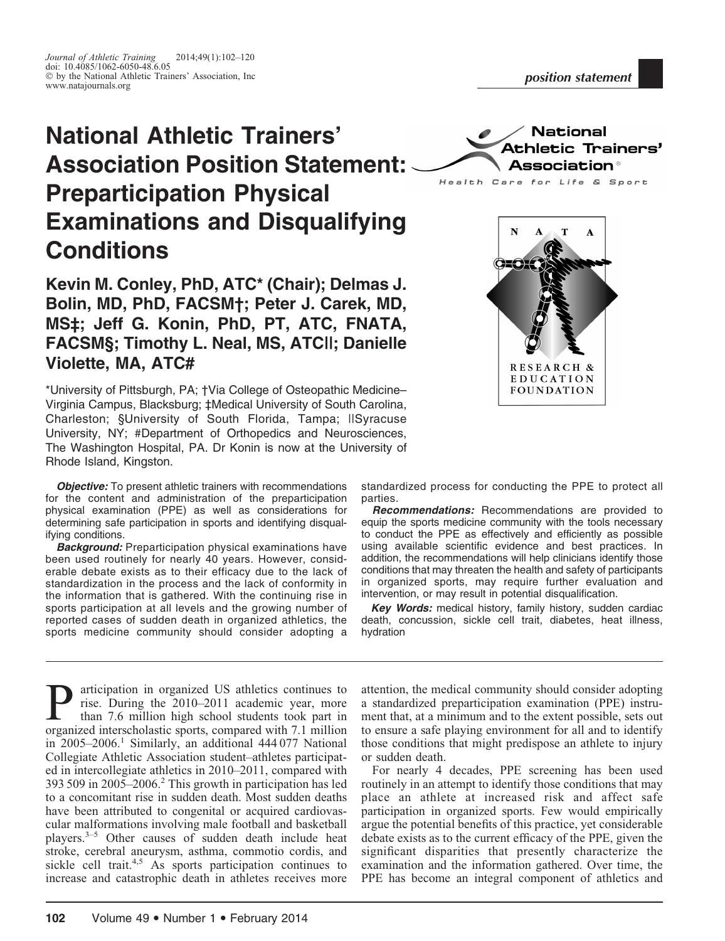# National Athletic Trainers' Association Position Statement: Preparticipation Physical Examinations and Disqualifying **Conditions**

Kevin M. Conley, PhD, ATC\* (Chair); Delmas J. Bolin, MD, PhD, FACSM†; Peter J. Carek, MD, MS‡; Jeff G. Konin, PhD, PT, ATC, FNATA, FACSM§; Timothy L. Neal, MS, ATC||; Danielle Violette, MA, ATC#

\*University of Pittsburgh, PA; †Via College of Osteopathic Medicine– Virginia Campus, Blacksburg; ‡Medical University of South Carolina, Charleston; §University of South Florida, Tampa; ||Syracuse University, NY; #Department of Orthopedics and Neurosciences, The Washington Hospital, PA. Dr Konin is now at the University of Rhode Island, Kingston.

**Objective:** To present athletic trainers with recommendations for the content and administration of the preparticipation physical examination (PPE) as well as considerations for determining safe participation in sports and identifying disqualifying conditions.

**Background:** Preparticipation physical examinations have been used routinely for nearly 40 years. However, considerable debate exists as to their efficacy due to the lack of standardization in the process and the lack of conformity in the information that is gathered. With the continuing rise in sports participation at all levels and the growing number of reported cases of sudden death in organized athletics, the sports medicine community should consider adopting a

**P** articipation in organized US athletics continues to rise. During the 2010–2011 academic year, more than 7.6 million high school students took part in organized interscholastic sports compared with 7.1 million rise. During the 2010–2011 academic year, more organized interscholastic sports, compared with 7.1 million in 2005–2006.<sup>1</sup> Similarly, an additional 444 077 National Collegiate Athletic Association student–athletes participated in intercollegiate athletics in 2010–2011, compared with 393 509 in 2005–2006.2 This growth in participation has led to a concomitant rise in sudden death. Most sudden deaths have been attributed to congenital or acquired cardiovascular malformations involving male football and basketball players.3–5 Other causes of sudden death include heat stroke, cerebral aneurysm, asthma, commotio cordis, and sickle cell trait.<sup>4,5</sup> As sports participation continues to increase and catastrophic death in athletes receives more





standardized process for conducting the PPE to protect all parties.

**Recommendations:** Recommendations are provided to equip the sports medicine community with the tools necessary to conduct the PPE as effectively and efficiently as possible using available scientific evidence and best practices. In addition, the recommendations will help clinicians identify those conditions that may threaten the health and safety of participants in organized sports, may require further evaluation and intervention, or may result in potential disqualification.

Key Words: medical history, family history, sudden cardiac death, concussion, sickle cell trait, diabetes, heat illness, hydration

attention, the medical community should consider adopting a standardized preparticipation examination (PPE) instrument that, at a minimum and to the extent possible, sets out to ensure a safe playing environment for all and to identify those conditions that might predispose an athlete to injury or sudden death.

For nearly 4 decades, PPE screening has been used routinely in an attempt to identify those conditions that may place an athlete at increased risk and affect safe participation in organized sports. Few would empirically argue the potential benefits of this practice, yet considerable debate exists as to the current efficacy of the PPE, given the significant disparities that presently characterize the examination and the information gathered. Over time, the PPE has become an integral component of athletics and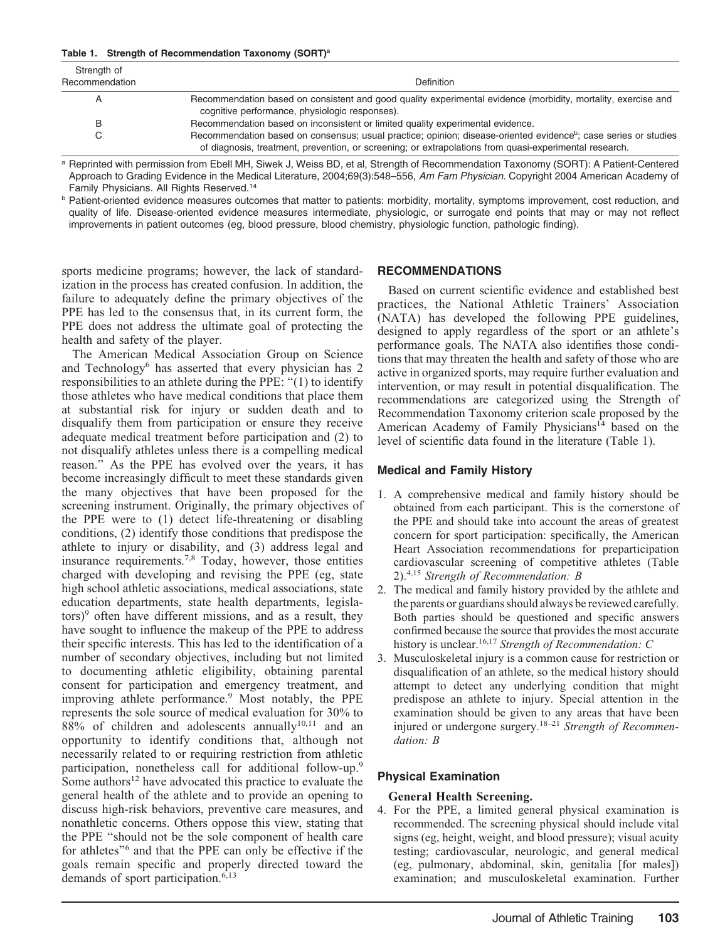#### Table 1. Strength of Recommendation Taxonomy (SORT)<sup>a</sup>

| Strength of<br>Recommendation | Definition                                                                                                                                                                                                                            |  |
|-------------------------------|---------------------------------------------------------------------------------------------------------------------------------------------------------------------------------------------------------------------------------------|--|
| A                             | Recommendation based on consistent and good quality experimental evidence (morbidity, mortality, exercise and<br>cognitive performance, physiologic responses).                                                                       |  |
| в                             | Recommendation based on inconsistent or limited quality experimental evidence.                                                                                                                                                        |  |
| С                             | Recommendation based on consensus; usual practice; opinion; disease-oriented evidence <sup>b</sup> ; case series or studies<br>of diagnosis, treatment, prevention, or screening; or extrapolations from quasi-experimental research. |  |

a Reprinted with permission from Ebell MH, Siwek J, Weiss BD, et al, Strength of Recommendation Taxonomy (SORT): A Patient-Centered Approach to Grading Evidence in the Medical Literature, 2004;69(3):548-556, Am Fam Physician. Copyright 2004 American Academy of Family Physicians. All Rights Reserved.<sup>14</sup>

**b** Patient-oriented evidence measures outcomes that matter to patients: morbidity, mortality, symptoms improvement, cost reduction, and quality of life. Disease-oriented evidence measures intermediate, physiologic, or surrogate end points that may or may not reflect improvements in patient outcomes (eg, blood pressure, blood chemistry, physiologic function, pathologic finding).

sports medicine programs; however, the lack of standardization in the process has created confusion. In addition, the failure to adequately define the primary objectives of the PPE has led to the consensus that, in its current form, the PPE does not address the ultimate goal of protecting the health and safety of the player.

The American Medical Association Group on Science and Technology<sup>6</sup> has asserted that every physician has 2 responsibilities to an athlete during the PPE: ''(1) to identify those athletes who have medical conditions that place them at substantial risk for injury or sudden death and to disqualify them from participation or ensure they receive adequate medical treatment before participation and (2) to not disqualify athletes unless there is a compelling medical reason.'' As the PPE has evolved over the years, it has become increasingly difficult to meet these standards given the many objectives that have been proposed for the screening instrument. Originally, the primary objectives of the PPE were to (1) detect life-threatening or disabling conditions, (2) identify those conditions that predispose the athlete to injury or disability, and (3) address legal and insurance requirements.<sup>7,8</sup> Today, however, those entities charged with developing and revising the PPE (eg, state high school athletic associations, medical associations, state education departments, state health departments, legisla $tors)$ <sup>9</sup> often have different missions, and as a result, they have sought to influence the makeup of the PPE to address their specific interests. This has led to the identification of a number of secondary objectives, including but not limited to documenting athletic eligibility, obtaining parental consent for participation and emergency treatment, and improving athlete performance.<sup>9</sup> Most notably, the PPE represents the sole source of medical evaluation for 30% to 88% of children and adolescents annually $10,11$  and an opportunity to identify conditions that, although not necessarily related to or requiring restriction from athletic participation, nonetheless call for additional follow-up.<sup>9</sup> Some authors $12$  have advocated this practice to evaluate the general health of the athlete and to provide an opening to discuss high-risk behaviors, preventive care measures, and nonathletic concerns. Others oppose this view, stating that the PPE ''should not be the sole component of health care for athletes''<sup>6</sup> and that the PPE can only be effective if the goals remain specific and properly directed toward the demands of sport participation.<sup>6,13</sup>

## RECOMMENDATIONS

Based on current scientific evidence and established best practices, the National Athletic Trainers' Association (NATA) has developed the following PPE guidelines, designed to apply regardless of the sport or an athlete's performance goals. The NATA also identifies those conditions that may threaten the health and safety of those who are active in organized sports, may require further evaluation and intervention, or may result in potential disqualification. The recommendations are categorized using the Strength of Recommendation Taxonomy criterion scale proposed by the American Academy of Family Physicians<sup>14</sup> based on the level of scientific data found in the literature (Table 1).

## Medical and Family History

- 1. A comprehensive medical and family history should be obtained from each participant. This is the cornerstone of the PPE and should take into account the areas of greatest concern for sport participation: specifically, the American Heart Association recommendations for preparticipation cardiovascular screening of competitive athletes (Table  $2)$ .<sup>4,15</sup> Strength of Recommendation: B
- 2. The medical and family history provided by the athlete and the parents or guardians should always be reviewed carefully. Both parties should be questioned and specific answers confirmed because the source that provides the most accurate history is unclear.<sup>16,17</sup> Strength of Recommendation: C
- 3. Musculoskeletal injury is a common cause for restriction or disqualification of an athlete, so the medical history should attempt to detect any underlying condition that might predispose an athlete to injury. Special attention in the examination should be given to any areas that have been injured or undergone surgery.<sup>18–21</sup> Strength of Recommendation: B

# Physical Examination

## General Health Screening.

4. For the PPE, a limited general physical examination is recommended. The screening physical should include vital signs (eg, height, weight, and blood pressure); visual acuity testing; cardiovascular, neurologic, and general medical (eg, pulmonary, abdominal, skin, genitalia [for males]) examination; and musculoskeletal examination. Further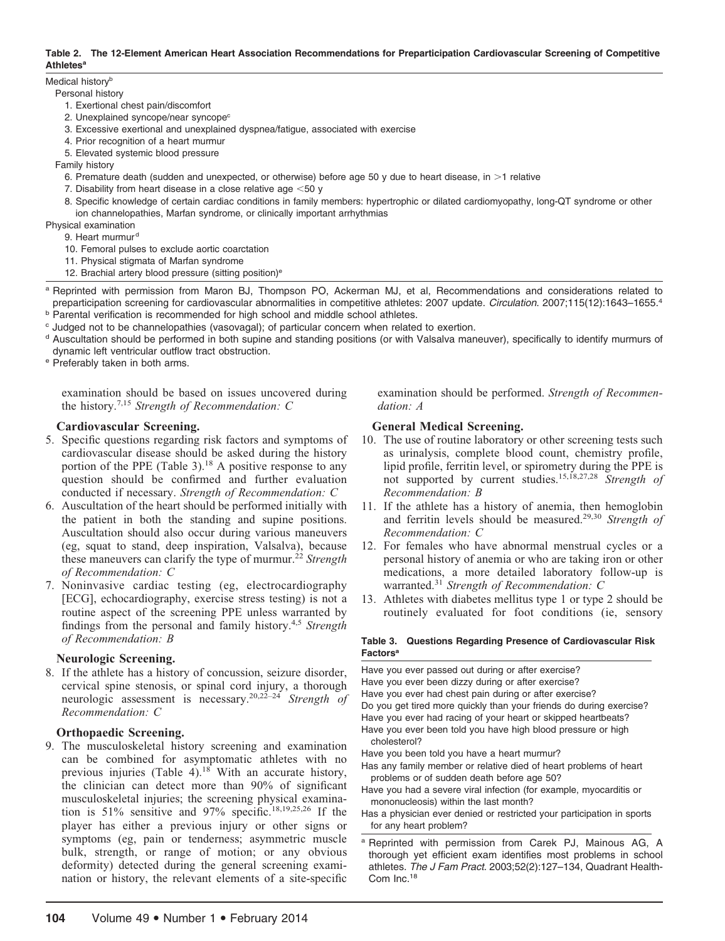#### Table 2. The 12-Element American Heart Association Recommendations for Preparticipation Cardiovascular Screening of Competitive **Athletes<sup>a</sup>**

Medical history<sup>b</sup>

- Personal history
	- 1. Exertional chest pain/discomfort
	- 2. Unexplained syncope/near syncope<sup>c</sup>
	- 3. Excessive exertional and unexplained dyspnea/fatigue, associated with exercise
	- 4. Prior recognition of a heart murmur
	- 5. Elevated systemic blood pressure

Family history

- 6. Premature death (sudden and unexpected, or otherwise) before age 50 y due to heart disease, in  $>1$  relative
- 7. Disability from heart disease in a close relative age  $<$  50 y
- 8. Specific knowledge of certain cardiac conditions in family members: hypertrophic or dilated cardiomyopathy, long-QT syndrome or other ion channelopathies, Marfan syndrome, or clinically important arrhythmias

Physical examination

9. Heart murmur<sup>d</sup>

- 10. Femoral pulses to exclude aortic coarctation
- 11. Physical stigmata of Marfan syndrome
- 12. Brachial artery blood pressure (sitting position)<sup>e</sup>

a Reprinted with permission from Maron BJ, Thompson PO, Ackerman MJ, et al, Recommendations and considerations related to preparticipation screening for cardiovascular abnormalities in competitive athletes: 2007 update. Circulation. 2007;115(12):1643-1655.4 **b** Parental verification is recommended for high school and middle school athletes.

- <sup>c</sup> Judged not to be channelopathies (vasovagal); of particular concern when related to exertion.
- <sup>d</sup> Auscultation should be performed in both supine and standing positions (or with Valsalva maneuver), specifically to identify murmurs of dynamic left ventricular outflow tract obstruction.
- <sup>e</sup> Preferably taken in both arms.

examination should be based on issues uncovered during the history.<sup>7,15</sup> Strength of Recommendation:  $C$ 

#### Cardiovascular Screening.

- 5. Specific questions regarding risk factors and symptoms of cardiovascular disease should be asked during the history portion of the PPE (Table 3).<sup>18</sup> A positive response to any question should be confirmed and further evaluation conducted if necessary. Strength of Recommendation: C
- 6. Auscultation of the heart should be performed initially with the patient in both the standing and supine positions. Auscultation should also occur during various maneuvers (eg, squat to stand, deep inspiration, Valsalva), because these maneuvers can clarify the type of murmur.<sup>22</sup> Strength of Recommendation: C
- 7. Noninvasive cardiac testing (eg, electrocardiography [ECG], echocardiography, exercise stress testing) is not a routine aspect of the screening PPE unless warranted by findings from the personal and family history.<sup>4,5</sup> Strength of Recommendation: B

#### Neurologic Screening.

8. If the athlete has a history of concussion, seizure disorder, cervical spine stenosis, or spinal cord injury, a thorough neurologic assessment is necessary.<sup>20,22–24</sup> Strength of Recommendation: C

#### Orthopaedic Screening.

9. The musculoskeletal history screening and examination can be combined for asymptomatic athletes with no previous injuries (Table 4).<sup>18</sup> With an accurate history, the clinician can detect more than 90% of significant musculoskeletal injuries; the screening physical examination is 51% sensitive and 97% specific.<sup>18,19,25,26</sup> If the player has either a previous injury or other signs or symptoms (eg, pain or tenderness; asymmetric muscle bulk, strength, or range of motion; or any obvious deformity) detected during the general screening examination or history, the relevant elements of a site-specific

examination should be performed. Strength of Recommendation: A

#### General Medical Screening.

- 10. The use of routine laboratory or other screening tests such as urinalysis, complete blood count, chemistry profile, lipid profile, ferritin level, or spirometry during the PPE is not supported by current studies.<sup>15,18,27,28</sup> Strength of Recommendation: B
- 11. If the athlete has a history of anemia, then hemoglobin and ferritin levels should be measured.<sup>29,30</sup> Strength of Recommendation: C
- 12. For females who have abnormal menstrual cycles or a personal history of anemia or who are taking iron or other medications, a more detailed laboratory follow-up is warranted.<sup>31</sup> Strength of Recommendation: C
- 13. Athletes with diabetes mellitus type 1 or type 2 should be routinely evaluated for foot conditions (ie, sensory

#### Table 3. Questions Regarding Presence of Cardiovascular Risk **Factors<sup>a</sup>**

Have you ever passed out during or after exercise? Have you ever been dizzy during or after exercise? Have you ever had chest pain during or after exercise? Do you get tired more quickly than your friends do during exercise? Have you ever had racing of your heart or skipped heartbeats? Have you ever been told you have high blood pressure or high cholesterol?

Have you been told you have a heart murmur?

- Has any family member or relative died of heart problems of heart problems or of sudden death before age 50?
- Have you had a severe viral infection (for example, myocarditis or mononucleosis) within the last month?
- Has a physician ever denied or restricted your participation in sports for any heart problem?

<sup>a</sup> Reprinted with permission from Carek PJ, Mainous AG, A thorough yet efficient exam identifies most problems in school athletes. The J Fam Pract. 2003;52(2):127–134, Quadrant Health-Com Inc.<sup>18</sup>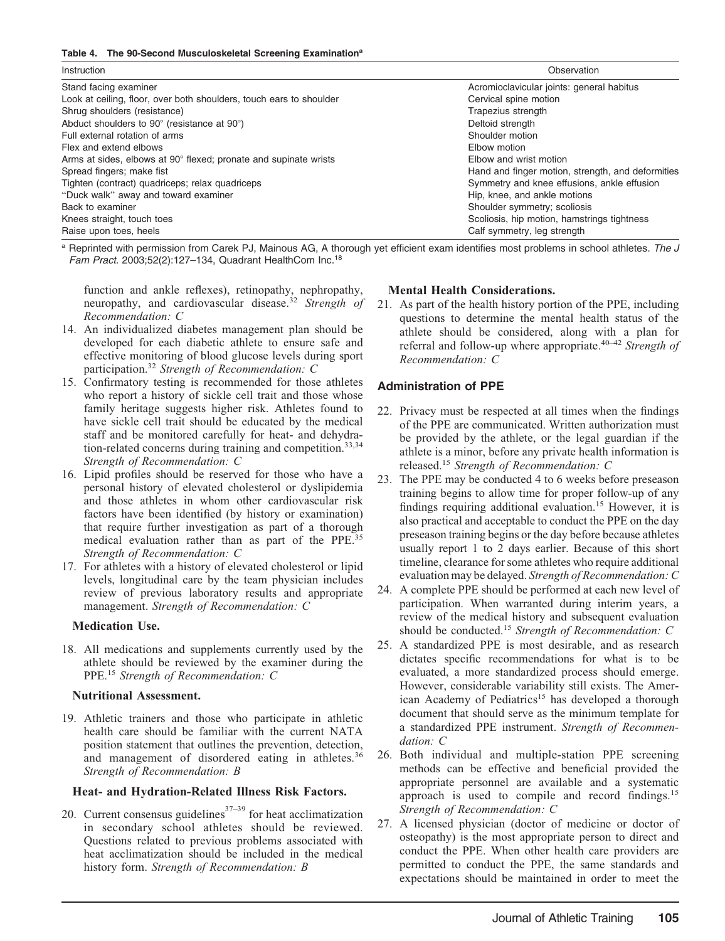#### Table 4. The 90-Second Musculoskeletal Screening Examination<sup>a</sup>

| Instruction                                                         | Observation                                       |  |
|---------------------------------------------------------------------|---------------------------------------------------|--|
| Stand facing examiner                                               | Acromioclavicular joints: general habitus         |  |
| Look at ceiling, floor, over both shoulders, touch ears to shoulder | Cervical spine motion                             |  |
| Shrug shoulders (resistance)                                        | Trapezius strength                                |  |
| Abduct shoulders to 90° (resistance at 90°)                         | Deltoid strength                                  |  |
| Full external rotation of arms                                      | Shoulder motion                                   |  |
| Flex and extend elbows                                              | Elbow motion                                      |  |
| Arms at sides, elbows at 90° flexed; pronate and supinate wrists    | Elbow and wrist motion                            |  |
| Spread fingers; make fist                                           | Hand and finger motion, strength, and deformities |  |
| Tighten (contract) quadriceps; relax quadriceps                     | Symmetry and knee effusions, ankle effusion       |  |
| "Duck walk" away and toward examiner                                | Hip, knee, and ankle motions                      |  |
| Back to examiner                                                    | Shoulder symmetry; scoliosis                      |  |
| Knees straight, touch toes                                          | Scoliosis, hip motion, hamstrings tightness       |  |
| Raise upon toes, heels                                              | Calf symmetry, leg strength                       |  |

a Reprinted with permission from Carek PJ, Mainous AG, A thorough yet efficient exam identifies most problems in school athletes. The J Fam Pract. 2003;52(2):127–134, Quadrant HealthCom Inc.<sup>18</sup>

function and ankle reflexes), retinopathy, nephropathy, neuropathy, and cardiovascular disease.<sup>32</sup> Strength of Recommendation: C

- 14. An individualized diabetes management plan should be developed for each diabetic athlete to ensure safe and effective monitoring of blood glucose levels during sport participation.<sup>32</sup> Strength of Recommendation: C
- 15. Confirmatory testing is recommended for those athletes who report a history of sickle cell trait and those whose family heritage suggests higher risk. Athletes found to have sickle cell trait should be educated by the medical staff and be monitored carefully for heat- and dehydration-related concerns during training and competition.<sup>33,34</sup> Strength of Recommendation: C
- 16. Lipid profiles should be reserved for those who have a personal history of elevated cholesterol or dyslipidemia and those athletes in whom other cardiovascular risk factors have been identified (by history or examination) that require further investigation as part of a thorough medical evaluation rather than as part of the PPE.<sup>35</sup> Strength of Recommendation: C
- 17. For athletes with a history of elevated cholesterol or lipid levels, longitudinal care by the team physician includes review of previous laboratory results and appropriate management. Strength of Recommendation: C

#### Medication Use.

18. All medications and supplements currently used by the athlete should be reviewed by the examiner during the PPE.<sup>15</sup> Strength of Recommendation: C

## Nutritional Assessment.

19. Athletic trainers and those who participate in athletic health care should be familiar with the current NATA position statement that outlines the prevention, detection, and management of disordered eating in athletes.<sup>36</sup> Strength of Recommendation: B

## Heat- and Hydration-Related Illness Risk Factors.

20. Current consensus guidelines<sup> $37-39$ </sup> for heat acclimatization in secondary school athletes should be reviewed. Questions related to previous problems associated with heat acclimatization should be included in the medical history form. Strength of Recommendation: B

## Mental Health Considerations.

21. As part of the health history portion of the PPE, including questions to determine the mental health status of the athlete should be considered, along with a plan for referral and follow-up where appropriate.<sup>40–42</sup> Strength of Recommendation: C

## Administration of PPE

- 22. Privacy must be respected at all times when the findings of the PPE are communicated. Written authorization must be provided by the athlete, or the legal guardian if the athlete is a minor, before any private health information is released.<sup>15</sup> Strength of Recommendation: C
- 23. The PPE may be conducted 4 to 6 weeks before preseason training begins to allow time for proper follow-up of any findings requiring additional evaluation.15 However, it is also practical and acceptable to conduct the PPE on the day preseason training begins or the day before because athletes usually report 1 to 2 days earlier. Because of this short timeline, clearance for some athletes who require additional evaluation may be delayed. Strength of Recommendation: C
- 24. A complete PPE should be performed at each new level of participation. When warranted during interim years, a review of the medical history and subsequent evaluation should be conducted.<sup>15</sup> Strength of Recommendation: C
- 25. A standardized PPE is most desirable, and as research dictates specific recommendations for what is to be evaluated, a more standardized process should emerge. However, considerable variability still exists. The American Academy of Pediatrics<sup>15</sup> has developed a thorough document that should serve as the minimum template for a standardized PPE instrument. Strength of Recommendation: C
- 26. Both individual and multiple-station PPE screening methods can be effective and beneficial provided the appropriate personnel are available and a systematic approach is used to compile and record findings.<sup>15</sup> Strength of Recommendation: C
- 27. A licensed physician (doctor of medicine or doctor of osteopathy) is the most appropriate person to direct and conduct the PPE. When other health care providers are permitted to conduct the PPE, the same standards and expectations should be maintained in order to meet the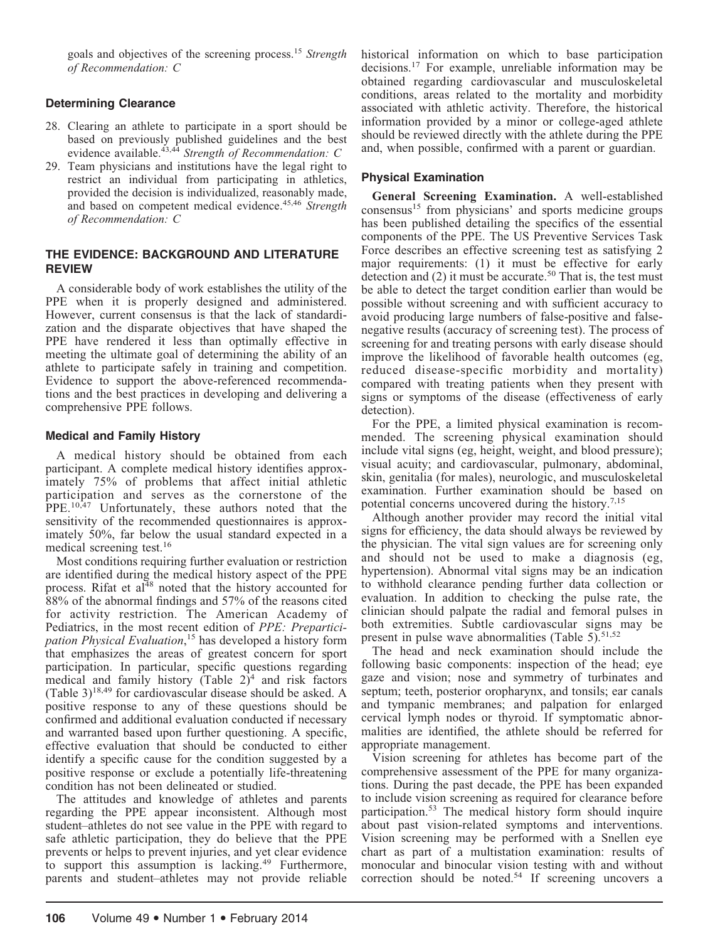goals and objectives of the screening process.15 Strength of Recommendation: C

# Determining Clearance

- 28. Clearing an athlete to participate in a sport should be based on previously published guidelines and the best evidence available.<sup>43,44</sup> Strength of Recommendation:  $C$
- 29. Team physicians and institutions have the legal right to restrict an individual from participating in athletics, provided the decision is individualized, reasonably made, and based on competent medical evidence.<sup>45,46</sup> Strength of Recommendation: C

# THE EVIDENCE: BACKGROUND AND LITERATURE REVIEW

A considerable body of work establishes the utility of the PPE when it is properly designed and administered. However, current consensus is that the lack of standardization and the disparate objectives that have shaped the PPE have rendered it less than optimally effective in meeting the ultimate goal of determining the ability of an athlete to participate safely in training and competition. Evidence to support the above-referenced recommendations and the best practices in developing and delivering a comprehensive PPE follows.

# Medical and Family History

A medical history should be obtained from each participant. A complete medical history identifies approximately 75% of problems that affect initial athletic participation and serves as the cornerstone of the PPE.<sup>10,47</sup> Unfortunately, these authors noted that the sensitivity of the recommended questionnaires is approximately 50%, far below the usual standard expected in a medical screening test.16

Most conditions requiring further evaluation or restriction are identified during the medical history aspect of the PPE process. Rifat et  $al^{48}$  noted that the history accounted for 88% of the abnormal findings and 57% of the reasons cited for activity restriction. The American Academy of Pediatrics, in the most recent edition of PPE: Preparticipation Physical Evaluation,<sup>15</sup> has developed a history form that emphasizes the areas of greatest concern for sport participation. In particular, specific questions regarding medical and family history (Table  $2)^4$  and risk factors (Table  $3)^{18,49}$  for cardiovascular disease should be asked. A positive response to any of these questions should be confirmed and additional evaluation conducted if necessary and warranted based upon further questioning. A specific, effective evaluation that should be conducted to either identify a specific cause for the condition suggested by a positive response or exclude a potentially life-threatening condition has not been delineated or studied.

The attitudes and knowledge of athletes and parents regarding the PPE appear inconsistent. Although most student–athletes do not see value in the PPE with regard to safe athletic participation, they do believe that the PPE prevents or helps to prevent injuries, and yet clear evidence to support this assumption is lacking.<sup>49</sup> Furthermore, parents and student–athletes may not provide reliable

historical information on which to base participation decisions.<sup>17</sup> For example, unreliable information may be obtained regarding cardiovascular and musculoskeletal conditions, areas related to the mortality and morbidity associated with athletic activity. Therefore, the historical information provided by a minor or college-aged athlete should be reviewed directly with the athlete during the PPE and, when possible, confirmed with a parent or guardian.

# Physical Examination

General Screening Examination. A well-established consensus<sup>15</sup> from physicians' and sports medicine groups has been published detailing the specifics of the essential components of the PPE. The US Preventive Services Task Force describes an effective screening test as satisfying 2 major requirements: (1) it must be effective for early detection and  $(2)$  it must be accurate.<sup>50</sup> That is, the test must be able to detect the target condition earlier than would be possible without screening and with sufficient accuracy to avoid producing large numbers of false-positive and falsenegative results (accuracy of screening test). The process of screening for and treating persons with early disease should improve the likelihood of favorable health outcomes (eg, reduced disease-specific morbidity and mortality) compared with treating patients when they present with signs or symptoms of the disease (effectiveness of early detection).

For the PPE, a limited physical examination is recommended. The screening physical examination should include vital signs (eg, height, weight, and blood pressure); visual acuity; and cardiovascular, pulmonary, abdominal, skin, genitalia (for males), neurologic, and musculoskeletal examination. Further examination should be based on potential concerns uncovered during the history.<sup>7,15</sup>

Although another provider may record the initial vital signs for efficiency, the data should always be reviewed by the physician. The vital sign values are for screening only and should not be used to make a diagnosis (eg, hypertension). Abnormal vital signs may be an indication to withhold clearance pending further data collection or evaluation. In addition to checking the pulse rate, the clinician should palpate the radial and femoral pulses in both extremities. Subtle cardiovascular signs may be present in pulse wave abnormalities (Table 5). $51,52$ 

The head and neck examination should include the following basic components: inspection of the head; eye gaze and vision; nose and symmetry of turbinates and septum; teeth, posterior oropharynx, and tonsils; ear canals and tympanic membranes; and palpation for enlarged cervical lymph nodes or thyroid. If symptomatic abnormalities are identified, the athlete should be referred for appropriate management.

Vision screening for athletes has become part of the comprehensive assessment of the PPE for many organizations. During the past decade, the PPE has been expanded to include vision screening as required for clearance before participation.53 The medical history form should inquire about past vision-related symptoms and interventions. Vision screening may be performed with a Snellen eye chart as part of a multistation examination: results of monocular and binocular vision testing with and without correction should be noted.<sup>54</sup> If screening uncovers a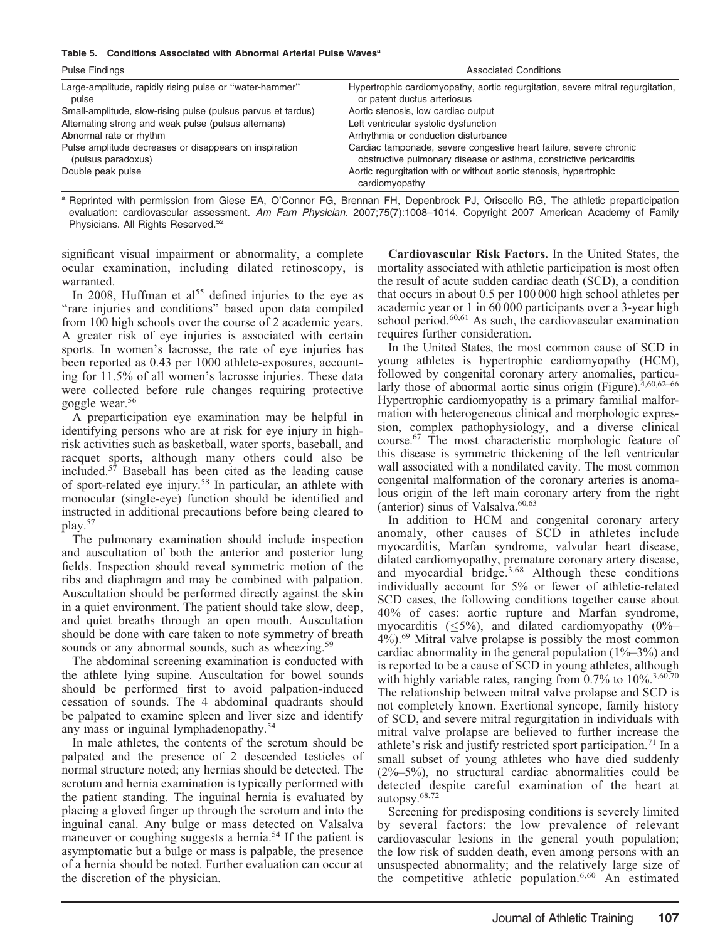Table 5. Conditions Associated with Abnormal Arterial Pulse Waves<sup>a</sup>

| Pulse Findings                                                                                    | <b>Associated Conditions</b>                                                                                                                                                                                                     |
|---------------------------------------------------------------------------------------------------|----------------------------------------------------------------------------------------------------------------------------------------------------------------------------------------------------------------------------------|
| Large-amplitude, rapidly rising pulse or "water-hammer"                                           | Hypertrophic cardiomyopathy, aortic regurgitation, severe mitral regurgitation,                                                                                                                                                  |
| pulse                                                                                             | or patent ductus arteriosus                                                                                                                                                                                                      |
| Small-amplitude, slow-rising pulse (pulsus parvus et tardus)                                      | Aortic stenosis, low cardiac output                                                                                                                                                                                              |
| Alternating strong and weak pulse (pulsus alternans)                                              | Left ventricular systolic dysfunction                                                                                                                                                                                            |
| Abnormal rate or rhythm                                                                           | Arrhythmia or conduction disturbance                                                                                                                                                                                             |
| Pulse amplitude decreases or disappears on inspiration<br>(pulsus paradoxus)<br>Double peak pulse | Cardiac tamponade, severe congestive heart failure, severe chronic<br>obstructive pulmonary disease or asthma, constrictive pericarditis<br>Aortic regurgitation with or without aortic stenosis, hypertrophic<br>cardiomyopathy |

a Reprinted with permission from Giese EA, O'Connor FG, Brennan FH, Depenbrock PJ, Oriscello RG, The athletic preparticipation evaluation: cardiovascular assessment. Am Fam Physician. 2007;75(7):1008-1014. Copyright 2007 American Academy of Family Physicians. All Rights Reserved.<sup>52</sup>

significant visual impairment or abnormality, a complete ocular examination, including dilated retinoscopy, is warranted.

In 2008, Huffman et al<sup>55</sup> defined injuries to the eye as "rare injuries and conditions" based upon data compiled from 100 high schools over the course of 2 academic years. A greater risk of eye injuries is associated with certain sports. In women's lacrosse, the rate of eye injuries has been reported as 0.43 per 1000 athlete-exposures, accounting for 11.5% of all women's lacrosse injuries. These data were collected before rule changes requiring protective goggle wear.56

A preparticipation eye examination may be helpful in identifying persons who are at risk for eye injury in highrisk activities such as basketball, water sports, baseball, and racquet sports, although many others could also be included.<sup>57</sup> Baseball has been cited as the leading cause of sport-related eye injury.58 In particular, an athlete with monocular (single-eye) function should be identified and instructed in additional precautions before being cleared to play.<sup>57</sup>

The pulmonary examination should include inspection and auscultation of both the anterior and posterior lung fields. Inspection should reveal symmetric motion of the ribs and diaphragm and may be combined with palpation. Auscultation should be performed directly against the skin in a quiet environment. The patient should take slow, deep, and quiet breaths through an open mouth. Auscultation should be done with care taken to note symmetry of breath sounds or any abnormal sounds, such as wheezing.<sup>59</sup>

The abdominal screening examination is conducted with the athlete lying supine. Auscultation for bowel sounds should be performed first to avoid palpation-induced cessation of sounds. The 4 abdominal quadrants should be palpated to examine spleen and liver size and identify any mass or inguinal lymphadenopathy.54

In male athletes, the contents of the scrotum should be palpated and the presence of 2 descended testicles of normal structure noted; any hernias should be detected. The scrotum and hernia examination is typically performed with the patient standing. The inguinal hernia is evaluated by placing a gloved finger up through the scrotum and into the inguinal canal. Any bulge or mass detected on Valsalva maneuver or coughing suggests a hernia.<sup>54</sup> If the patient is asymptomatic but a bulge or mass is palpable, the presence of a hernia should be noted. Further evaluation can occur at the discretion of the physician.

Cardiovascular Risk Factors. In the United States, the mortality associated with athletic participation is most often the result of acute sudden cardiac death (SCD), a condition that occurs in about 0.5 per 100 000 high school athletes per academic year or 1 in 60 000 participants over a 3-year high school period. $60,61$  As such, the cardiovascular examination requires further consideration.

In the United States, the most common cause of SCD in young athletes is hypertrophic cardiomyopathy (HCM), followed by congenital coronary artery anomalies, particularly those of abnormal aortic sinus origin (Figure).<sup>4,60,62–66</sup> Hypertrophic cardiomyopathy is a primary familial malformation with heterogeneous clinical and morphologic expression, complex pathophysiology, and a diverse clinical course.67 The most characteristic morphologic feature of this disease is symmetric thickening of the left ventricular wall associated with a nondilated cavity. The most common congenital malformation of the coronary arteries is anomalous origin of the left main coronary artery from the right (anterior) sinus of Valsalva.<sup>60,63</sup>

In addition to HCM and congenital coronary artery anomaly, other causes of SCD in athletes include myocarditis, Marfan syndrome, valvular heart disease, dilated cardiomyopathy, premature coronary artery disease, and myocardial bridge. $3,68$  Although these conditions individually account for 5% or fewer of athletic-related SCD cases, the following conditions together cause about 40% of cases: aortic rupture and Marfan syndrome, myocarditis ( $\leq$ 5%), and dilated cardiomyopathy (0%– 4%).69 Mitral valve prolapse is possibly the most common cardiac abnormality in the general population  $(1\textdegree -3\textdegree)$  and is reported to be a cause of SCD in young athletes, although with highly variable rates, ranging from  $0.7\%$  to  $10\%$ .<sup>3,60,70</sup> The relationship between mitral valve prolapse and SCD is not completely known. Exertional syncope, family history of SCD, and severe mitral regurgitation in individuals with mitral valve prolapse are believed to further increase the athlete's risk and justify restricted sport participation.71 In a small subset of young athletes who have died suddenly (2%–5%), no structural cardiac abnormalities could be detected despite careful examination of the heart at autopsy.68,72

Screening for predisposing conditions is severely limited by several factors: the low prevalence of relevant cardiovascular lesions in the general youth population; the low risk of sudden death, even among persons with an unsuspected abnormality; and the relatively large size of the competitive athletic population.<sup>6,60</sup> An estimated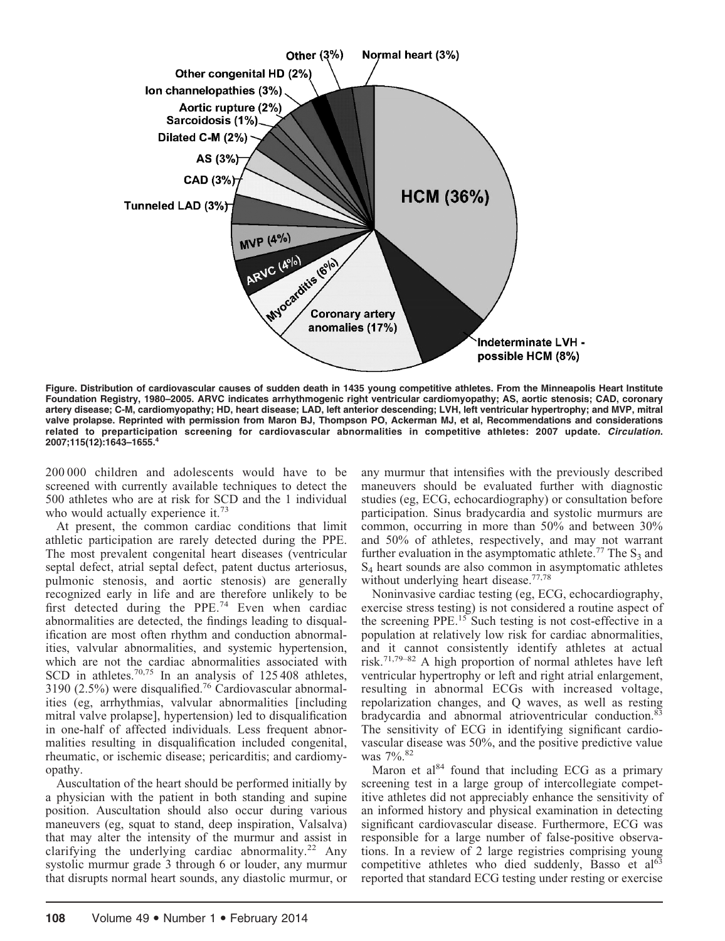

Figure. Distribution of cardiovascular causes of sudden death in 1435 young competitive athletes. From the Minneapolis Heart Institute Foundation Registry, 1980–2005. ARVC indicates arrhythmogenic right ventricular cardiomyopathy; AS, aortic stenosis; CAD, coronary artery disease; C-M, cardiomyopathy; HD, heart disease; LAD, left anterior descending; LVH, left ventricular hypertrophy; and MVP, mitral valve prolapse. Reprinted with permission from Maron BJ, Thompson PO, Ackerman MJ, et al, Recommendations and considerations related to preparticipation screening for cardiovascular abnormalities in competitive athletes: 2007 update. Circulation. 2007;115(12):1643–1655.4

200 000 children and adolescents would have to be screened with currently available techniques to detect the 500 athletes who are at risk for SCD and the 1 individual who would actually experience it.<sup>73</sup>

At present, the common cardiac conditions that limit athletic participation are rarely detected during the PPE. The most prevalent congenital heart diseases (ventricular septal defect, atrial septal defect, patent ductus arteriosus, pulmonic stenosis, and aortic stenosis) are generally recognized early in life and are therefore unlikely to be first detected during the PPE.<sup>74</sup> Even when cardiac abnormalities are detected, the findings leading to disqualification are most often rhythm and conduction abnormalities, valvular abnormalities, and systemic hypertension, which are not the cardiac abnormalities associated with SCD in athletes.<sup>70,75</sup> In an analysis of 125 408 athletes, 3190 (2.5%) were disqualified.<sup>76</sup> Cardiovascular abnormalities (eg, arrhythmias, valvular abnormalities [including mitral valve prolapse], hypertension) led to disqualification in one-half of affected individuals. Less frequent abnormalities resulting in disqualification included congenital, rheumatic, or ischemic disease; pericarditis; and cardiomyopathy.

Auscultation of the heart should be performed initially by a physician with the patient in both standing and supine position. Auscultation should also occur during various maneuvers (eg, squat to stand, deep inspiration, Valsalva) that may alter the intensity of the murmur and assist in clarifying the underlying cardiac abnormality.<sup>22</sup> Any systolic murmur grade 3 through 6 or louder, any murmur that disrupts normal heart sounds, any diastolic murmur, or any murmur that intensifies with the previously described maneuvers should be evaluated further with diagnostic studies (eg, ECG, echocardiography) or consultation before participation. Sinus bradycardia and systolic murmurs are common, occurring in more than 50% and between 30% and 50% of athletes, respectively, and may not warrant further evaluation in the asymptomatic athlete.<sup>77</sup> The  $S_3$  and S4 heart sounds are also common in asymptomatic athletes without underlying heart disease.<sup>77,78</sup>

Noninvasive cardiac testing (eg, ECG, echocardiography, exercise stress testing) is not considered a routine aspect of the screening PPE.<sup>15</sup> Such testing is not cost-effective in a population at relatively low risk for cardiac abnormalities, and it cannot consistently identify athletes at actual risk.71,79–82 A high proportion of normal athletes have left ventricular hypertrophy or left and right atrial enlargement, resulting in abnormal ECGs with increased voltage, repolarization changes, and Q waves, as well as resting bradycardia and abnormal atrioventricular conduction.<sup>83</sup> The sensitivity of ECG in identifying significant cardiovascular disease was 50%, and the positive predictive value was 7%.82

Maron et  $al^{84}$  found that including ECG as a primary screening test in a large group of intercollegiate competitive athletes did not appreciably enhance the sensitivity of an informed history and physical examination in detecting significant cardiovascular disease. Furthermore, ECG was responsible for a large number of false-positive observations. In a review of 2 large registries comprising young competitive athletes who died suddenly, Basso et al<sup>63</sup> reported that standard ECG testing under resting or exercise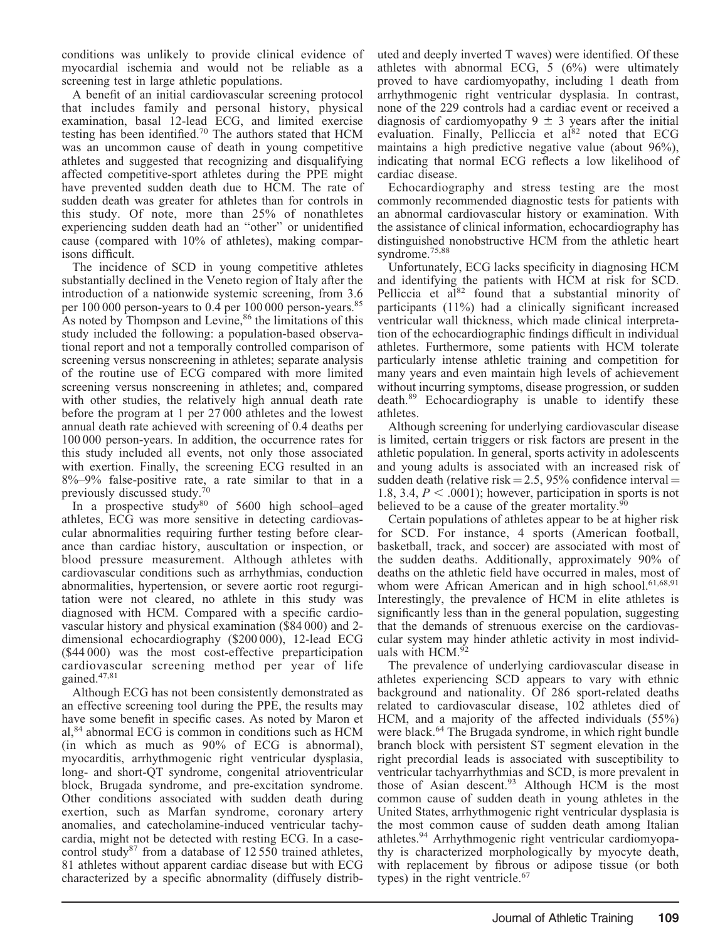conditions was unlikely to provide clinical evidence of myocardial ischemia and would not be reliable as a screening test in large athletic populations.

A benefit of an initial cardiovascular screening protocol that includes family and personal history, physical examination, basal 12-lead ECG, and limited exercise testing has been identified.70 The authors stated that HCM was an uncommon cause of death in young competitive athletes and suggested that recognizing and disqualifying affected competitive-sport athletes during the PPE might have prevented sudden death due to HCM. The rate of sudden death was greater for athletes than for controls in this study. Of note, more than 25% of nonathletes experiencing sudden death had an ''other'' or unidentified cause (compared with 10% of athletes), making comparisons difficult.

The incidence of SCD in young competitive athletes substantially declined in the Veneto region of Italy after the introduction of a nationwide systemic screening, from 3.6 per 100 000 person-years to 0.4 per 100 000 person-years.<sup>85</sup> As noted by Thompson and Levine,<sup>86</sup> the limitations of this study included the following: a population-based observational report and not a temporally controlled comparison of screening versus nonscreening in athletes; separate analysis of the routine use of ECG compared with more limited screening versus nonscreening in athletes; and, compared with other studies, the relatively high annual death rate before the program at 1 per 27 000 athletes and the lowest annual death rate achieved with screening of 0.4 deaths per 100 000 person-years. In addition, the occurrence rates for this study included all events, not only those associated with exertion. Finally, the screening ECG resulted in an 8%–9% false-positive rate, a rate similar to that in a previously discussed study.<sup>70</sup>

In a prospective study<sup>80</sup> of 5600 high school–aged athletes, ECG was more sensitive in detecting cardiovascular abnormalities requiring further testing before clearance than cardiac history, auscultation or inspection, or blood pressure measurement. Although athletes with cardiovascular conditions such as arrhythmias, conduction abnormalities, hypertension, or severe aortic root regurgitation were not cleared, no athlete in this study was diagnosed with HCM. Compared with a specific cardiovascular history and physical examination (\$84 000) and 2 dimensional echocardiography (\$200 000), 12-lead ECG (\$44 000) was the most cost-effective preparticipation cardiovascular screening method per year of life gained.47,81

Although ECG has not been consistently demonstrated as an effective screening tool during the PPE, the results may have some benefit in specific cases. As noted by Maron et al,84 abnormal ECG is common in conditions such as HCM (in which as much as 90% of ECG is abnormal), myocarditis, arrhythmogenic right ventricular dysplasia, long- and short-QT syndrome, congenital atrioventricular block, Brugada syndrome, and pre-excitation syndrome. Other conditions associated with sudden death during exertion, such as Marfan syndrome, coronary artery anomalies, and catecholamine-induced ventricular tachycardia, might not be detected with resting ECG. In a casecontrol study<sup>87</sup> from a database of  $12,550$  trained athletes, 81 athletes without apparent cardiac disease but with ECG characterized by a specific abnormality (diffusely distrib-

uted and deeply inverted T waves) were identified. Of these athletes with abnormal ECG, 5 (6%) were ultimately proved to have cardiomyopathy, including 1 death from arrhythmogenic right ventricular dysplasia. In contrast, none of the 229 controls had a cardiac event or received a diagnosis of cardiomyopathy  $9 \pm 3$  years after the initial evaluation. Finally, Pelliccia et al82 noted that ECG maintains a high predictive negative value (about 96%), indicating that normal ECG reflects a low likelihood of cardiac disease.

Echocardiography and stress testing are the most commonly recommended diagnostic tests for patients with an abnormal cardiovascular history or examination. With the assistance of clinical information, echocardiography has distinguished nonobstructive HCM from the athletic heart syndrome.<sup>75,88</sup>

Unfortunately, ECG lacks specificity in diagnosing HCM and identifying the patients with HCM at risk for SCD. Pelliccia et  $a^{82}$  found that a substantial minority of participants (11%) had a clinically significant increased ventricular wall thickness, which made clinical interpretation of the echocardiographic findings difficult in individual athletes. Furthermore, some patients with HCM tolerate particularly intense athletic training and competition for many years and even maintain high levels of achievement without incurring symptoms, disease progression, or sudden death.<sup>89</sup> Echocardiography is unable to identify these athletes.

Although screening for underlying cardiovascular disease is limited, certain triggers or risk factors are present in the athletic population. In general, sports activity in adolescents and young adults is associated with an increased risk of sudden death (relative risk = 2.5, 95% confidence interval = 1.8, 3.4,  $P < .0001$ ); however, participation in sports is not believed to be a cause of the greater mortality. $\overline{90}$ 

Certain populations of athletes appear to be at higher risk for SCD. For instance, 4 sports (American football, basketball, track, and soccer) are associated with most of the sudden deaths. Additionally, approximately 90% of deaths on the athletic field have occurred in males, most of whom were African American and in high school. $61,68,91$ Interestingly, the prevalence of HCM in elite athletes is significantly less than in the general population, suggesting that the demands of strenuous exercise on the cardiovascular system may hinder athletic activity in most individuals with HCM.<sup>9</sup>

The prevalence of underlying cardiovascular disease in athletes experiencing SCD appears to vary with ethnic background and nationality. Of 286 sport-related deaths related to cardiovascular disease, 102 athletes died of HCM, and a majority of the affected individuals (55%) were black.<sup>64</sup> The Brugada syndrome, in which right bundle branch block with persistent ST segment elevation in the right precordial leads is associated with susceptibility to ventricular tachyarrhythmias and SCD, is more prevalent in those of Asian descent.<sup>93</sup> Although HCM is the most common cause of sudden death in young athletes in the United States, arrhythmogenic right ventricular dysplasia is the most common cause of sudden death among Italian athletes.94 Arrhythmogenic right ventricular cardiomyopathy is characterized morphologically by myocyte death, with replacement by fibrous or adipose tissue (or both types) in the right ventricle. $67$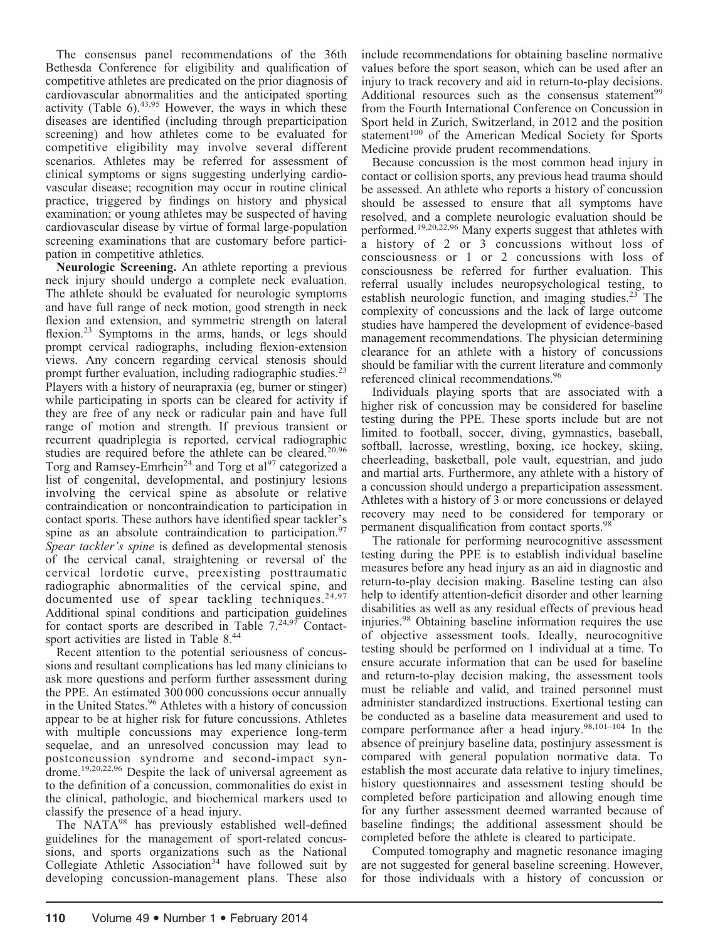The consensus panel recommendations of the 36th Bethesda Conference for eligibility and qualification of competitive athletes are predicated on the prior diagnosis of cardiovascular abnormalities and the anticipated sporting activity (Table  $6$ ).<sup>43,95</sup> However, the ways in which these diseases are identified (including through preparticipation screening) and how athletes come to be evaluated for competitive eligibility may involve several different scenarios. Athletes may be referred for assessment of clinical symptoms or signs suggesting underlying cardiovascular disease; recognition may occur in routine clinical practice, triggered by findings on history and physical examination; or young athletes may be suspected of having cardiovascular disease by virtue of formal large-population screening examinations that are customary before participation in competitive athletics.

Neurologic Screening. An athlete reporting a previous neck injury should undergo a complete neck evaluation. The athlete should be evaluated for neurologic symptoms and have full range of neck motion, good strength in neck flexion and extension, and symmetric strength on lateral flexion.<sup>23</sup> Symptoms in the arms, hands, or legs should prompt cervical radiographs, including flexion-extension views. Any concern regarding cervical stenosis should prompt further evaluation, including radiographic studies.<sup>23</sup> Players with a history of neurapraxia (eg, burner or stinger) while participating in sports can be cleared for activity if they are free of any neck or radicular pain and have full range of motion and strength. If previous transient or recurrent quadriplegia is reported, cervical radiographic studies are required before the athlete can be cleared.<sup>20,96</sup> Torg and Ramsey-Emrhein<sup>24</sup> and Torg et al<sup>97</sup> categorized a list of congenital, developmental, and postinjury lesions involving the cervical spine as absolute or relative contraindication or noncontraindication to participation in contact sports. These authors have identified spear tackler's spine as an absolute contraindication to participation.<sup>97</sup> Spear tackler's spine is defined as developmental stenosis of the cervical canal, straightening or reversal of the cervical lordotic curve, preexisting posttraumatic radiographic abnormalities of the cervical spine, and documented use of spear tackling techniques.  $24,97$ Additional spinal conditions and participation guidelines for contact sports are described in Table  $7.^{24,97}$  Contactsport activities are listed in Table 8.44

Recent attention to the potential seriousness of concussions and resultant complications has led many clinicians to ask more questions and perform further assessment during the PPE. An estimated 300 000 concussions occur annually in the United States.<sup>96</sup> Athletes with a history of concussion appear to be at higher risk for future concussions. Athletes with multiple concussions may experience long-term sequelae, and an unresolved concussion may lead to postconcussion syndrome and second-impact syndrome.19,20,22,96 Despite the lack of universal agreement as to the definition of a concussion, commonalities do exist in the clinical, pathologic, and biochemical markers used to classify the presence of a head injury.

The NATA<sup>98</sup> has previously established well-defined guidelines for the management of sport-related concussions, and sports organizations such as the National Collegiate Athletic Association<sup>34</sup> have followed suit by developing concussion-management plans. These also include recommendations for obtaining baseline normative values before the sport season, which can be used after an injury to track recovery and aid in return-to-play decisions. Additional resources such as the consensus statement<sup>99</sup> from the Fourth International Conference on Concussion in Sport held in Zurich, Switzerland, in 2012 and the position statement<sup>100</sup> of the American Medical Society for Sports Medicine provide prudent recommendations.

Because concussion is the most common head injury in contact or collision sports, any previous head trauma should be assessed. An athlete who reports a history of concussion should be assessed to ensure that all symptoms have resolved, and a complete neurologic evaluation should be performed.19,20,22,96 Many experts suggest that athletes with a history of 2 or 3 concussions without loss of consciousness or 1 or 2 concussions with loss of consciousness be referred for further evaluation. This referral usually includes neuropsychological testing, to establish neurologic function, and imaging studies. $23$  The complexity of concussions and the lack of large outcome studies have hampered the development of evidence-based management recommendations. The physician determining clearance for an athlete with a history of concussions should be familiar with the current literature and commonly referenced clinical recommendations.<sup>96</sup>

Individuals playing sports that are associated with a higher risk of concussion may be considered for baseline testing during the PPE. These sports include but are not limited to football, soccer, diving, gymnastics, baseball, softball, lacrosse, wrestling, boxing, ice hockey, skiing, cheerleading, basketball, pole vault, equestrian, and judo and martial arts. Furthermore, any athlete with a history of a concussion should undergo a preparticipation assessment. Athletes with a history of 3 or more concussions or delayed recovery may need to be considered for temporary or permanent disqualification from contact sports.<sup>98</sup>

The rationale for performing neurocognitive assessment testing during the PPE is to establish individual baseline measures before any head injury as an aid in diagnostic and return-to-play decision making. Baseline testing can also help to identify attention-deficit disorder and other learning disabilities as well as any residual effects of previous head injuries.98 Obtaining baseline information requires the use of objective assessment tools. Ideally, neurocognitive testing should be performed on 1 individual at a time. To ensure accurate information that can be used for baseline and return-to-play decision making, the assessment tools must be reliable and valid, and trained personnel must administer standardized instructions. Exertional testing can be conducted as a baseline data measurement and used to compare performance after a head injury.<sup>98,101-104</sup> In the absence of preinjury baseline data, postinjury assessment is compared with general population normative data. To establish the most accurate data relative to injury timelines, history questionnaires and assessment testing should be completed before participation and allowing enough time for any further assessment deemed warranted because of baseline findings; the additional assessment should be completed before the athlete is cleared to participate.

Computed tomography and magnetic resonance imaging are not suggested for general baseline screening. However, for those individuals with a history of concussion or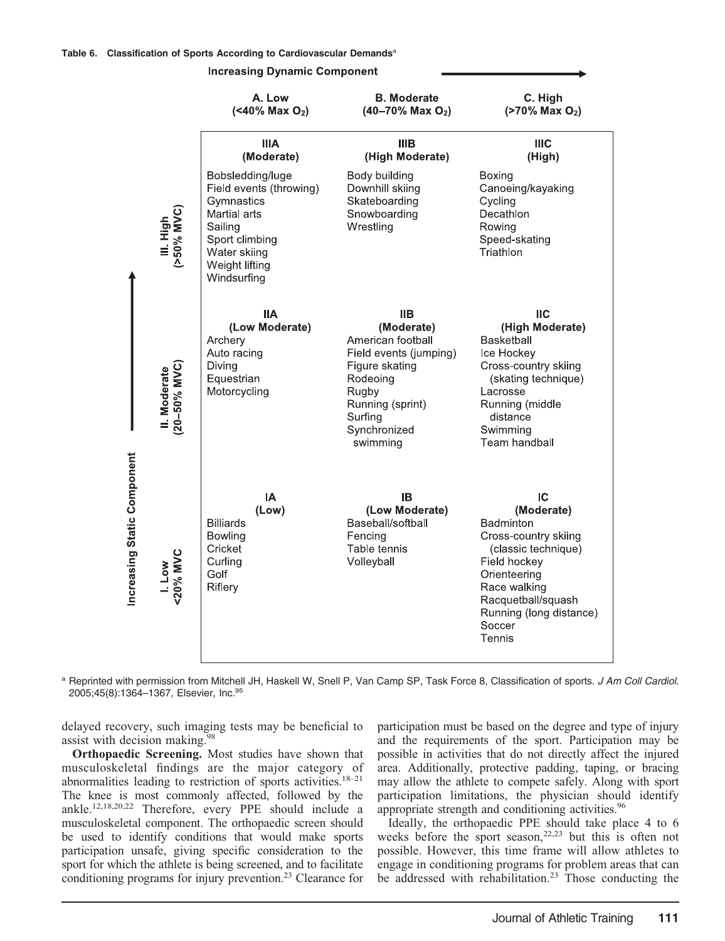**Increasing Dynamic Component** 



a Reprinted with permission from Mitchell JH, Haskell W, Snell P, Van Camp SP, Task Force 8, Classification of sports. J Am Coll Cardiol. 2005;45(8):1364–1367, Elsevier, Inc.<sup>95</sup>

delayed recovery, such imaging tests may be beneficial to assist with decision making.<sup>98</sup>

Orthopaedic Screening. Most studies have shown that musculoskeletal findings are the major category of abnormalities leading to restriction of sports activities.<sup>18–21</sup> The knee is most commonly affected, followed by the ankle.12,18,20,22 Therefore, every PPE should include a musculoskeletal component. The orthopaedic screen should be used to identify conditions that would make sports participation unsafe, giving specific consideration to the sport for which the athlete is being screened, and to facilitate conditioning programs for injury prevention.<sup>23</sup> Clearance for participation must be based on the degree and type of injury and the requirements of the sport. Participation may be possible in activities that do not directly affect the injured area. Additionally, protective padding, taping, or bracing may allow the athlete to compete safely. Along with sport participation limitations, the physician should identify appropriate strength and conditioning activities.96

Ideally, the orthopaedic PPE should take place 4 to 6 weeks before the sport season, $22,23$  but this is often not possible. However, this time frame will allow athletes to engage in conditioning programs for problem areas that can be addressed with rehabilitation.<sup>23</sup> Those conducting the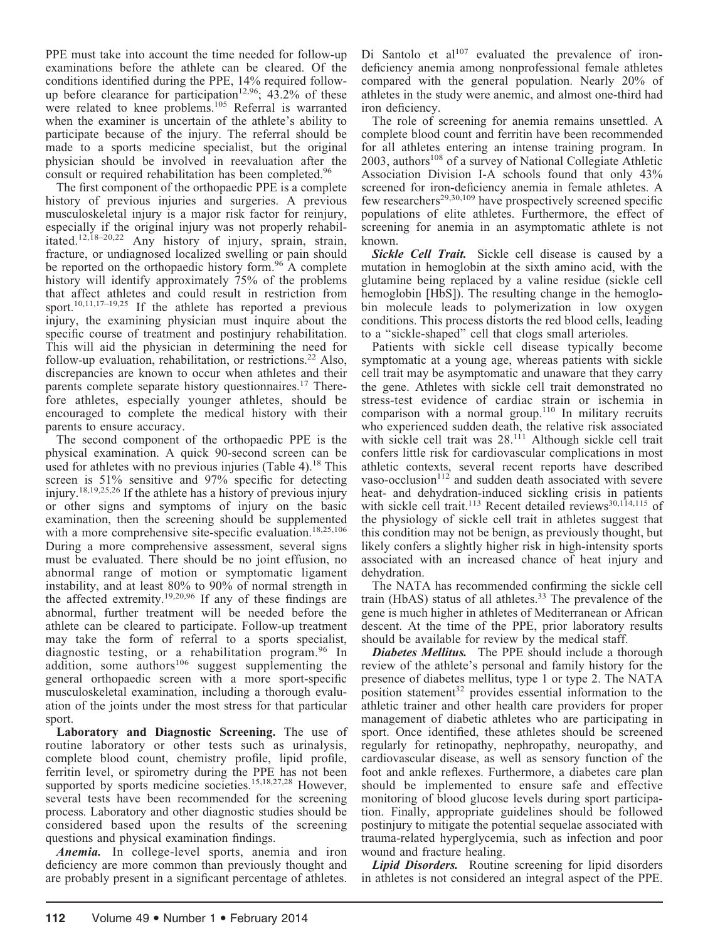PPE must take into account the time needed for follow-up examinations before the athlete can be cleared. Of the conditions identified during the PPE, 14% required followup before clearance for participation<sup>12,96</sup>; 43.2% of these were related to knee problems.<sup>105</sup> Referral is warranted when the examiner is uncertain of the athlete's ability to participate because of the injury. The referral should be made to a sports medicine specialist, but the original physician should be involved in reevaluation after the consult or required rehabilitation has been completed.<sup>96</sup>

The first component of the orthopaedic PPE is a complete history of previous injuries and surgeries. A previous musculoskeletal injury is a major risk factor for reinjury, especially if the original injury was not properly rehabilitated.12,18–20,22 Any history of injury, sprain, strain, fracture, or undiagnosed localized swelling or pain should be reported on the orthopaedic history form.<sup>96</sup> A complete history will identify approximately 75% of the problems that affect athletes and could result in restriction from sport.<sup>10,11,17–19,25</sup> If the athlete has reported a previous injury, the examining physician must inquire about the specific course of treatment and postinjury rehabilitation. This will aid the physician in determining the need for follow-up evaluation, rehabilitation, or restrictions.<sup>22</sup> Also, discrepancies are known to occur when athletes and their parents complete separate history questionnaires.<sup>17</sup> Therefore athletes, especially younger athletes, should be encouraged to complete the medical history with their parents to ensure accuracy.

The second component of the orthopaedic PPE is the physical examination. A quick 90-second screen can be used for athletes with no previous injuries (Table 4).<sup>18</sup> This screen is 51% sensitive and 97% specific for detecting injury.<sup>18,19,25,26</sup> If the athlete has a history of previous injury or other signs and symptoms of injury on the basic examination, then the screening should be supplemented with a more comprehensive site-specific evaluation.<sup>18,25,106</sup> During a more comprehensive assessment, several signs must be evaluated. There should be no joint effusion, no abnormal range of motion or symptomatic ligament instability, and at least 80% to 90% of normal strength in the affected extremity.<sup>19,20,96</sup> If any of these findings are abnormal, further treatment will be needed before the athlete can be cleared to participate. Follow-up treatment may take the form of referral to a sports specialist, diagnostic testing, or a rehabilitation program.<sup>96</sup> In addition, some authors<sup>106</sup> suggest supplementing the general orthopaedic screen with a more sport-specific musculoskeletal examination, including a thorough evaluation of the joints under the most stress for that particular sport.

Laboratory and Diagnostic Screening. The use of routine laboratory or other tests such as urinalysis, complete blood count, chemistry profile, lipid profile, ferritin level, or spirometry during the PPE has not been supported by sports medicine societies.15,18,27,28 However, several tests have been recommended for the screening process. Laboratory and other diagnostic studies should be considered based upon the results of the screening questions and physical examination findings.

Anemia. In college-level sports, anemia and iron deficiency are more common than previously thought and are probably present in a significant percentage of athletes.

Di Santolo et  $al^{107}$  evaluated the prevalence of irondeficiency anemia among nonprofessional female athletes compared with the general population. Nearly 20% of athletes in the study were anemic, and almost one-third had iron deficiency.

The role of screening for anemia remains unsettled. A complete blood count and ferritin have been recommended for all athletes entering an intense training program. In 2003, authors<sup>108</sup> of a survey of National Collegiate Athletic Association Division I-A schools found that only 43% screened for iron-deficiency anemia in female athletes. A few researchers<sup>29,30,109</sup> have prospectively screened specific populations of elite athletes. Furthermore, the effect of screening for anemia in an asymptomatic athlete is not known.

Sickle Cell Trait. Sickle cell disease is caused by a mutation in hemoglobin at the sixth amino acid, with the glutamine being replaced by a valine residue (sickle cell hemoglobin [HbS]). The resulting change in the hemoglobin molecule leads to polymerization in low oxygen conditions. This process distorts the red blood cells, leading to a ''sickle-shaped'' cell that clogs small arterioles.

Patients with sickle cell disease typically become symptomatic at a young age, whereas patients with sickle cell trait may be asymptomatic and unaware that they carry the gene. Athletes with sickle cell trait demonstrated no stress-test evidence of cardiac strain or ischemia in comparison with a normal group.110 In military recruits who experienced sudden death, the relative risk associated who experienced sudden death, the reduces that we also even the with sickle cell trait confers little risk for cardiovascular complications in most athletic contexts, several recent reports have described vaso-occlusion $112$  and sudden death associated with severe heat- and dehydration-induced sickling crisis in patients with sickle cell trait.<sup>113</sup> Recent detailed reviews<sup>30,114,115</sup> of the physiology of sickle cell trait in athletes suggest that this condition may not be benign, as previously thought, but likely confers a slightly higher risk in high-intensity sports associated with an increased chance of heat injury and dehydration.

The NATA has recommended confirming the sickle cell train ( $HbAS$ ) status of all athletes.<sup>33</sup> The prevalence of the gene is much higher in athletes of Mediterranean or African descent. At the time of the PPE, prior laboratory results should be available for review by the medical staff.

Diabetes Mellitus. The PPE should include a thorough review of the athlete's personal and family history for the presence of diabetes mellitus, type 1 or type 2. The NATA position statement<sup>32</sup> provides essential information to the athletic trainer and other health care providers for proper management of diabetic athletes who are participating in sport. Once identified, these athletes should be screened regularly for retinopathy, nephropathy, neuropathy, and cardiovascular disease, as well as sensory function of the foot and ankle reflexes. Furthermore, a diabetes care plan should be implemented to ensure safe and effective monitoring of blood glucose levels during sport participation. Finally, appropriate guidelines should be followed postinjury to mitigate the potential sequelae associated with trauma-related hyperglycemia, such as infection and poor wound and fracture healing.

Lipid Disorders. Routine screening for lipid disorders in athletes is not considered an integral aspect of the PPE.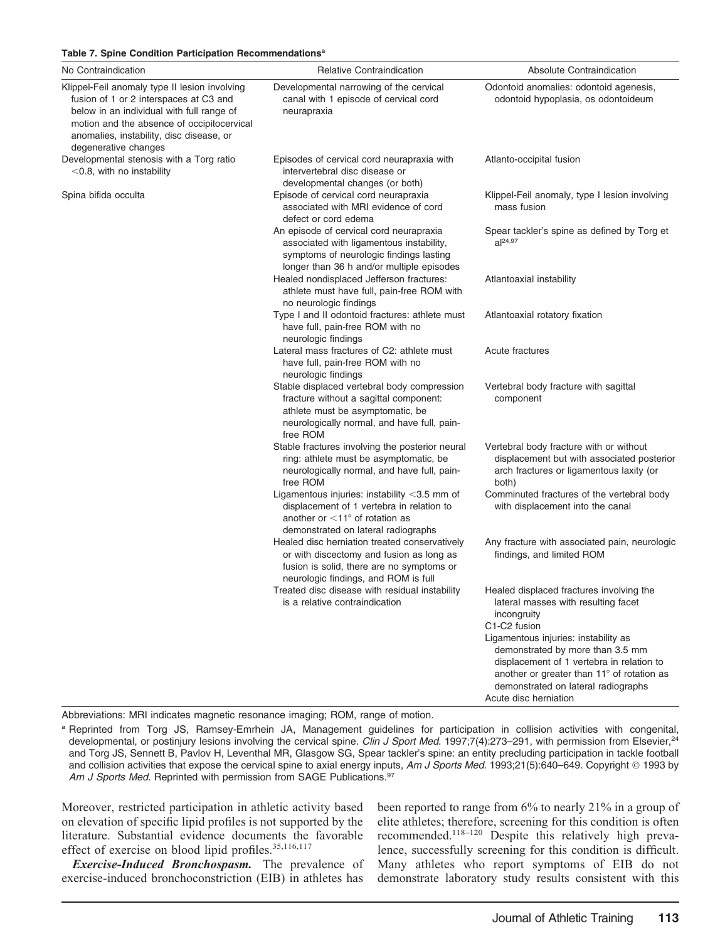#### Table 7. Spine Condition Participation Recommendations<sup>a</sup>

| No Contraindication                                                                                                                                                                                                                                    | <b>Relative Contraindication</b>                                                                                                                                                     | Absolute Contraindication                                                                                                                                                                                  |
|--------------------------------------------------------------------------------------------------------------------------------------------------------------------------------------------------------------------------------------------------------|--------------------------------------------------------------------------------------------------------------------------------------------------------------------------------------|------------------------------------------------------------------------------------------------------------------------------------------------------------------------------------------------------------|
| Klippel-Feil anomaly type II lesion involving<br>fusion of 1 or 2 interspaces at C3 and<br>below in an individual with full range of<br>motion and the absence of occipitocervical<br>anomalies, instability, disc disease, or<br>degenerative changes | Developmental narrowing of the cervical<br>canal with 1 episode of cervical cord<br>neurapraxia                                                                                      | Odontoid anomalies: odontoid agenesis,<br>odontoid hypoplasia, os odontoideum                                                                                                                              |
| Developmental stenosis with a Torg ratio<br>$<$ 0.8, with no instability                                                                                                                                                                               | Episodes of cervical cord neurapraxia with<br>intervertebral disc disease or<br>developmental changes (or both)                                                                      | Atlanto-occipital fusion                                                                                                                                                                                   |
| Spina bifida occulta                                                                                                                                                                                                                                   | Episode of cervical cord neurapraxia<br>associated with MRI evidence of cord<br>defect or cord edema                                                                                 | Klippel-Feil anomaly, type I lesion involving<br>mass fusion                                                                                                                                               |
|                                                                                                                                                                                                                                                        | An episode of cervical cord neurapraxia<br>associated with ligamentous instability,<br>symptoms of neurologic findings lasting<br>longer than 36 h and/or multiple episodes          | Spear tackler's spine as defined by Torg et<br>$Al^{24,97}$                                                                                                                                                |
|                                                                                                                                                                                                                                                        | Healed nondisplaced Jefferson fractures:<br>athlete must have full, pain-free ROM with<br>no neurologic findings                                                                     | Atlantoaxial instability                                                                                                                                                                                   |
|                                                                                                                                                                                                                                                        | Type I and II odontoid fractures: athlete must<br>have full, pain-free ROM with no<br>neurologic findings                                                                            | Atlantoaxial rotatory fixation                                                                                                                                                                             |
|                                                                                                                                                                                                                                                        | Lateral mass fractures of C2: athlete must<br>have full, pain-free ROM with no<br>neurologic findings                                                                                | Acute fractures                                                                                                                                                                                            |
|                                                                                                                                                                                                                                                        | Stable displaced vertebral body compression<br>fracture without a sagittal component:<br>athlete must be asymptomatic, be<br>neurologically normal, and have full, pain-<br>free ROM | Vertebral body fracture with sagittal<br>component                                                                                                                                                         |
|                                                                                                                                                                                                                                                        | Stable fractures involving the posterior neural<br>ring: athlete must be asymptomatic, be<br>neurologically normal, and have full, pain-<br>free ROM                                 | Vertebral body fracture with or without<br>displacement but with associated posterior<br>arch fractures or ligamentous laxity (or<br>both)                                                                 |
|                                                                                                                                                                                                                                                        | Ligamentous injuries: instability $<$ 3.5 mm of<br>displacement of 1 vertebra in relation to<br>another or $\leq 11^{\circ}$ of rotation as<br>demonstrated on lateral radiographs   | Comminuted fractures of the vertebral body<br>with displacement into the canal                                                                                                                             |
|                                                                                                                                                                                                                                                        | Healed disc herniation treated conservatively<br>or with discectomy and fusion as long as<br>fusion is solid, there are no symptoms or<br>neurologic findings, and ROM is full       | Any fracture with associated pain, neurologic<br>findings, and limited ROM                                                                                                                                 |
|                                                                                                                                                                                                                                                        | Treated disc disease with residual instability<br>is a relative contraindication                                                                                                     | Healed displaced fractures involving the<br>lateral masses with resulting facet<br>incongruity<br>C1-C2 fusion                                                                                             |
|                                                                                                                                                                                                                                                        |                                                                                                                                                                                      | Ligamentous injuries: instability as<br>demonstrated by more than 3.5 mm<br>displacement of 1 vertebra in relation to<br>another or greater than 11° of rotation as<br>demonstrated on lateral radiographs |
|                                                                                                                                                                                                                                                        |                                                                                                                                                                                      | Acute disc herniation                                                                                                                                                                                      |

Abbreviations: MRI indicates magnetic resonance imaging; ROM, range of motion.

a Reprinted from Torg JS, Ramsey-Emrhein JA, Management guidelines for participation in collision activities with congenital, developmental, or postinjury lesions involving the cervical spine. Clin J Sport Med. 1997;7(4):273-291, with permission from Elsevier,<sup>24</sup> and Torg JS, Sennett B, Pavlov H, Leventhal MR, Glasgow SG, Spear tackler's spine: an entity precluding participation in tackle football and collision activities that expose the cervical spine to axial energy inputs, Am J Sports Med. 1993;21(5):640–649. Copyright © 1993 by Am J Sports Med. Reprinted with permission from SAGE Publications.<sup>97</sup>

Moreover, restricted participation in athletic activity based on elevation of specific lipid profiles is not supported by the literature. Substantial evidence documents the favorable effect of exercise on blood lipid profiles.<sup>35,116,117</sup>

Exercise-Induced Bronchospasm. The prevalence of exercise-induced bronchoconstriction (EIB) in athletes has been reported to range from 6% to nearly 21% in a group of elite athletes; therefore, screening for this condition is often recommended.118–120 Despite this relatively high prevalence, successfully screening for this condition is difficult. Many athletes who report symptoms of EIB do not demonstrate laboratory study results consistent with this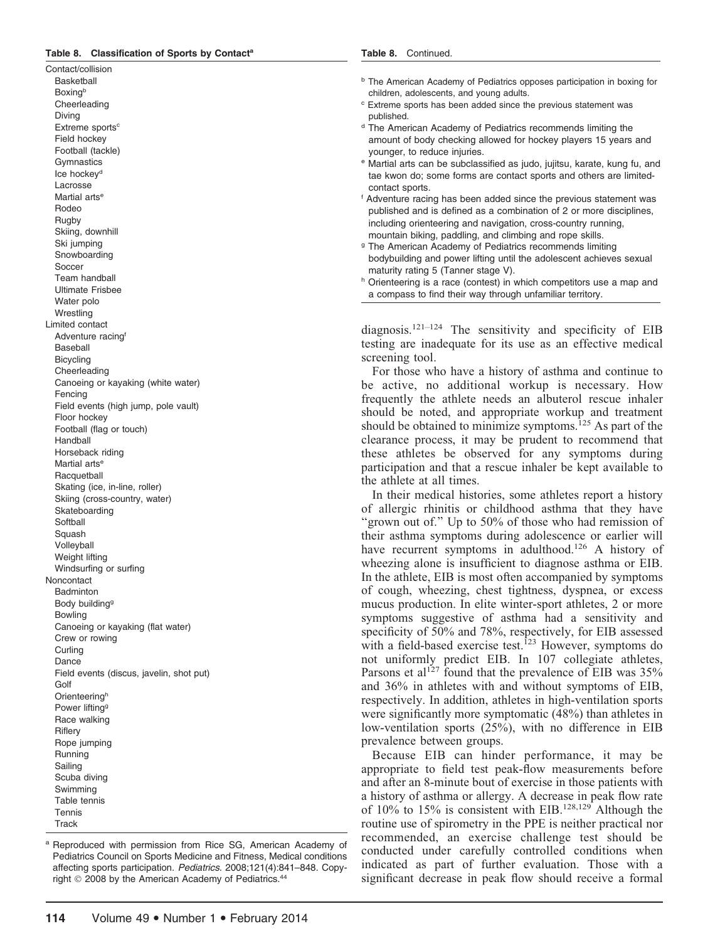#### Table 8. Classification of Sports by Contact<sup>a</sup>

Contact/collision **Basketball Boxing**<sup>b</sup> Cheerleading Diving Extreme sports<sup>c</sup> Field hockey Football (tackle) **Gymnastics** Ice hockey<sup>d</sup> Lacrosse Martial arts<sup>e</sup> Rodeo **Rugby** Skiing, downhill Ski jumping Snowboarding Soccer Team handball Ultimate Frisbee Water polo **Wrestling** Limited contact Adventure racing<sup>f</sup> Baseball **Bicycling** Cheerleading Canoeing or kayaking (white water) Fencing Field events (high jump, pole vault) Floor hockey Football (flag or touch) Handball Horseback riding Martial arts<sup>e</sup> **Racquetball** Skating (ice, in-line, roller) Skiing (cross-country, water) Skateboarding **Softball Squash** Volleyball Weight lifting Windsurfing or surfing Noncontact Badminton Body building<sup>g</sup> Bowling Canoeing or kayaking (flat water) Crew or rowing Curling Dance Field events (discus, javelin, shot put) Golf Orienteeringh Power lifting<sup>g</sup> Race walking **Riflery** Rope jumping Running Sailing Scuba diving Swimming Table tennis Tennis **Track** 

a Reproduced with permission from Rice SG, American Academy of Pediatrics Council on Sports Medicine and Fitness, Medical conditions affecting sports participation. Pediatrics. 2008;121(4):841–848. Copyright © 2008 by the American Academy of Pediatrics.<sup>44</sup>

#### Table 8. Continued.

- <sup>b</sup> The American Academy of Pediatrics opposes participation in boxing for children, adolescents, and young adults.
- <sup>c</sup> Extreme sports has been added since the previous statement was published.
- <sup>d</sup> The American Academy of Pediatrics recommends limiting the amount of body checking allowed for hockey players 15 years and younger, to reduce injuries.
- <sup>e</sup> Martial arts can be subclassified as judo, jujitsu, karate, kung fu, and tae kwon do; some forms are contact sports and others are limitedcontact sports.
- <sup>f</sup> Adventure racing has been added since the previous statement was published and is defined as a combination of 2 or more disciplines, including orienteering and navigation, cross-country running, mountain biking, paddling, and climbing and rope skills.
- <sup>9</sup> The American Academy of Pediatrics recommends limiting bodybuilding and power lifting until the adolescent achieves sexual maturity rating 5 (Tanner stage V).
- h Orienteering is a race (contest) in which competitors use a map and a compass to find their way through unfamiliar territory.

diagnosis.121–124 The sensitivity and specificity of EIB testing are inadequate for its use as an effective medical screening tool.

For those who have a history of asthma and continue to be active, no additional workup is necessary. How frequently the athlete needs an albuterol rescue inhaler should be noted, and appropriate workup and treatment should be obtained to minimize symptoms.<sup>125</sup> As part of the clearance process, it may be prudent to recommend that these athletes be observed for any symptoms during participation and that a rescue inhaler be kept available to the athlete at all times.

In their medical histories, some athletes report a history of allergic rhinitis or childhood asthma that they have "grown out of." Up to 50% of those who had remission of their asthma symptoms during adolescence or earlier will have recurrent symptoms in adulthood.<sup>126</sup> A history of wheezing alone is insufficient to diagnose asthma or EIB. In the athlete, EIB is most often accompanied by symptoms of cough, wheezing, chest tightness, dyspnea, or excess mucus production. In elite winter-sport athletes, 2 or more symptoms suggestive of asthma had a sensitivity and specificity of 50% and 78%, respectively, for EIB assessed with a field-based exercise test.<sup>123</sup> However, symptoms do not uniformly predict EIB. In 107 collegiate athletes, Parsons et al<sup>127</sup> found that the prevalence of EIB was  $35\%$ and 36% in athletes with and without symptoms of EIB, respectively. In addition, athletes in high-ventilation sports were significantly more symptomatic (48%) than athletes in low-ventilation sports (25%), with no difference in EIB prevalence between groups.

Because EIB can hinder performance, it may be appropriate to field test peak-flow measurements before and after an 8-minute bout of exercise in those patients with a history of asthma or allergy. A decrease in peak flow rate of  $10\%$  to  $15\%$  is consistent with EIB.<sup>128,129</sup> Although the routine use of spirometry in the PPE is neither practical nor recommended, an exercise challenge test should be conducted under carefully controlled conditions when indicated as part of further evaluation. Those with a significant decrease in peak flow should receive a formal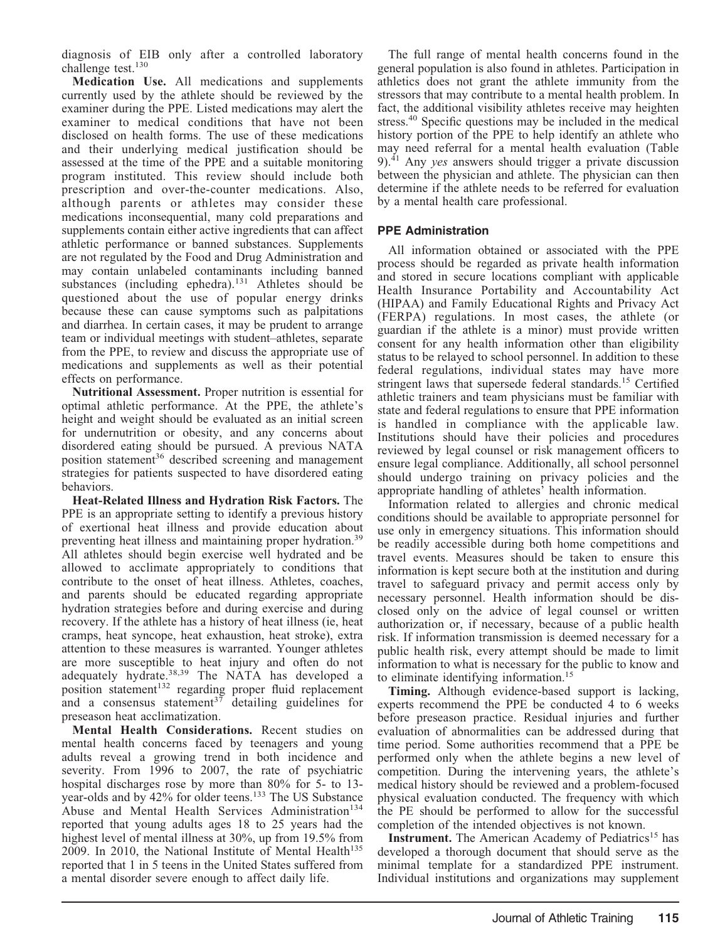diagnosis of EIB only after a controlled laboratory challenge test.<sup>130</sup>

Medication Use. All medications and supplements currently used by the athlete should be reviewed by the examiner during the PPE. Listed medications may alert the examiner to medical conditions that have not been disclosed on health forms. The use of these medications and their underlying medical justification should be assessed at the time of the PPE and a suitable monitoring program instituted. This review should include both prescription and over-the-counter medications. Also, although parents or athletes may consider these medications inconsequential, many cold preparations and supplements contain either active ingredients that can affect athletic performance or banned substances. Supplements are not regulated by the Food and Drug Administration and may contain unlabeled contaminants including banned substances (including ephedra).<sup>131</sup> Athletes should be questioned about the use of popular energy drinks because these can cause symptoms such as palpitations and diarrhea. In certain cases, it may be prudent to arrange team or individual meetings with student–athletes, separate from the PPE, to review and discuss the appropriate use of medications and supplements as well as their potential effects on performance.

Nutritional Assessment. Proper nutrition is essential for optimal athletic performance. At the PPE, the athlete's height and weight should be evaluated as an initial screen for undernutrition or obesity, and any concerns about disordered eating should be pursued. A previous NATA position statement<sup>36</sup> described screening and management strategies for patients suspected to have disordered eating behaviors.

Heat-Related Illness and Hydration Risk Factors. The PPE is an appropriate setting to identify a previous history of exertional heat illness and provide education about preventing heat illness and maintaining proper hydration.<sup>39</sup> All athletes should begin exercise well hydrated and be allowed to acclimate appropriately to conditions that contribute to the onset of heat illness. Athletes, coaches, and parents should be educated regarding appropriate hydration strategies before and during exercise and during recovery. If the athlete has a history of heat illness (ie, heat cramps, heat syncope, heat exhaustion, heat stroke), extra attention to these measures is warranted. Younger athletes are more susceptible to heat injury and often do not adequately hydrate.<sup>38,39</sup> The NATA has developed a position statement<sup>132</sup> regarding proper fluid replacement and a consensus statement<sup>37</sup> detailing guidelines for preseason heat acclimatization.

Mental Health Considerations. Recent studies on mental health concerns faced by teenagers and young adults reveal a growing trend in both incidence and severity. From 1996 to 2007, the rate of psychiatric hospital discharges rose by more than 80% for 5- to 13 year-olds and by 42% for older teens.<sup>133</sup> The US Substance Abuse and Mental Health Services Administration<sup>134</sup> reported that young adults ages 18 to 25 years had the highest level of mental illness at 30%, up from 19.5% from 2009. In 2010, the National Institute of Mental Health $135$ reported that 1 in 5 teens in the United States suffered from a mental disorder severe enough to affect daily life.

The full range of mental health concerns found in the general population is also found in athletes. Participation in athletics does not grant the athlete immunity from the stressors that may contribute to a mental health problem. In fact, the additional visibility athletes receive may heighten stress.<sup>40</sup> Specific questions may be included in the medical history portion of the PPE to help identify an athlete who may need referral for a mental health evaluation (Table 9).<sup>41</sup> Any *yes* answers should trigger a private discussion between the physician and athlete. The physician can then determine if the athlete needs to be referred for evaluation by a mental health care professional.

# PPE Administration

All information obtained or associated with the PPE process should be regarded as private health information and stored in secure locations compliant with applicable Health Insurance Portability and Accountability Act (HIPAA) and Family Educational Rights and Privacy Act (FERPA) regulations. In most cases, the athlete (or guardian if the athlete is a minor) must provide written consent for any health information other than eligibility status to be relayed to school personnel. In addition to these federal regulations, individual states may have more stringent laws that supersede federal standards.<sup>15</sup> Certified athletic trainers and team physicians must be familiar with state and federal regulations to ensure that PPE information is handled in compliance with the applicable law. Institutions should have their policies and procedures reviewed by legal counsel or risk management officers to ensure legal compliance. Additionally, all school personnel should undergo training on privacy policies and the appropriate handling of athletes' health information.

Information related to allergies and chronic medical conditions should be available to appropriate personnel for use only in emergency situations. This information should be readily accessible during both home competitions and travel events. Measures should be taken to ensure this information is kept secure both at the institution and during travel to safeguard privacy and permit access only by necessary personnel. Health information should be disclosed only on the advice of legal counsel or written authorization or, if necessary, because of a public health risk. If information transmission is deemed necessary for a public health risk, every attempt should be made to limit information to what is necessary for the public to know and to eliminate identifying information.<sup>15</sup>

Timing. Although evidence-based support is lacking, experts recommend the PPE be conducted 4 to 6 weeks before preseason practice. Residual injuries and further evaluation of abnormalities can be addressed during that time period. Some authorities recommend that a PPE be performed only when the athlete begins a new level of competition. During the intervening years, the athlete's medical history should be reviewed and a problem-focused physical evaluation conducted. The frequency with which the PE should be performed to allow for the successful completion of the intended objectives is not known.

Instrument. The American Academy of Pediatrics<sup>15</sup> has developed a thorough document that should serve as the minimal template for a standardized PPE instrument. Individual institutions and organizations may supplement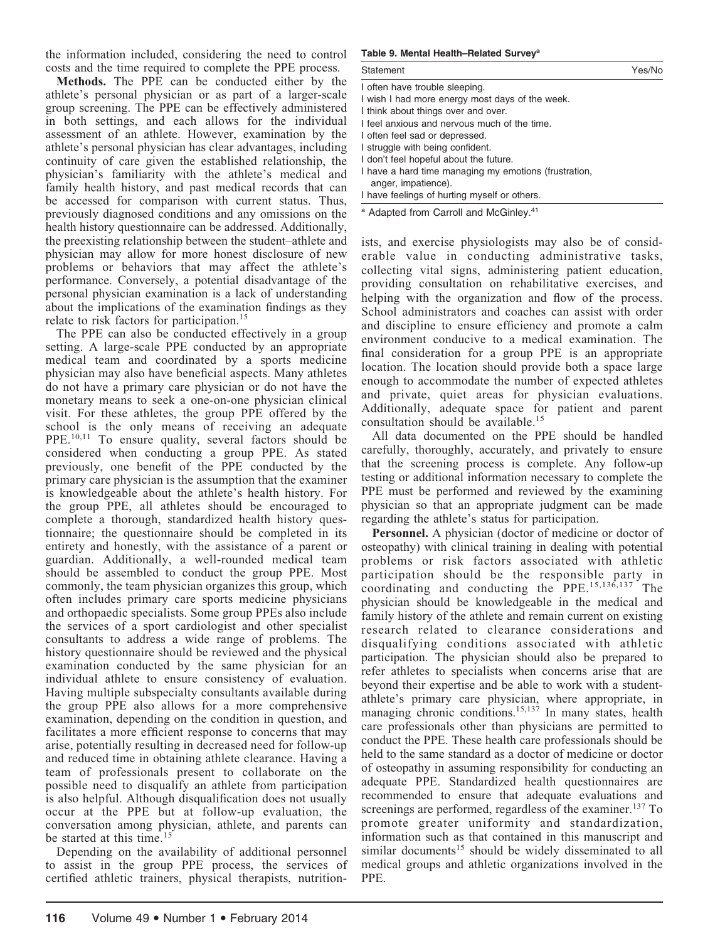the information included, considering the need to control costs and the time required to complete the PPE process.

Methods. The PPE can be conducted either by the athlete's personal physician or as part of a larger-scale group screening. The PPE can be effectively administered in both settings, and each allows for the individual assessment of an athlete. However, examination by the athlete's personal physician has clear advantages, including continuity of care given the established relationship, the physician's familiarity with the athlete's medical and family health history, and past medical records that can be accessed for comparison with current status. Thus, previously diagnosed conditions and any omissions on the health history questionnaire can be addressed. Additionally, the preexisting relationship between the student–athlete and physician may allow for more honest disclosure of new problems or behaviors that may affect the athlete's performance. Conversely, a potential disadvantage of the personal physician examination is a lack of understanding about the implications of the examination findings as they relate to risk factors for participation.15

The PPE can also be conducted effectively in a group setting. A large-scale PPE conducted by an appropriate medical team and coordinated by a sports medicine physician may also have beneficial aspects. Many athletes do not have a primary care physician or do not have the monetary means to seek a one-on-one physician clinical visit. For these athletes, the group PPE offered by the school is the only means of receiving an adequate PPE.<sup>10,11</sup> To ensure quality, several factors should be considered when conducting a group PPE. As stated previously, one benefit of the PPE conducted by the primary care physician is the assumption that the examiner is knowledgeable about the athlete's health history. For the group PPE, all athletes should be encouraged to complete a thorough, standardized health history questionnaire; the questionnaire should be completed in its entirety and honestly, with the assistance of a parent or guardian. Additionally, a well-rounded medical team should be assembled to conduct the group PPE. Most commonly, the team physician organizes this group, which often includes primary care sports medicine physicians and orthopaedic specialists. Some group PPEs also include the services of a sport cardiologist and other specialist consultants to address a wide range of problems. The history questionnaire should be reviewed and the physical examination conducted by the same physician for an individual athlete to ensure consistency of evaluation. Having multiple subspecialty consultants available during the group PPE also allows for a more comprehensive examination, depending on the condition in question, and facilitates a more efficient response to concerns that may arise, potentially resulting in decreased need for follow-up and reduced time in obtaining athlete clearance. Having a team of professionals present to collaborate on the possible need to disqualify an athlete from participation is also helpful. Although disqualification does not usually occur at the PPE but at follow-up evaluation, the conversation among physician, athlete, and parents can be started at this time.<sup>15</sup>

Depending on the availability of additional personnel to assist in the group PPE process, the services of certified athletic trainers, physical therapists, nutrition-

#### Table 9. Mental Health–Related Survey<sup>a</sup>

| Statement                                                                         | Yes/No |
|-----------------------------------------------------------------------------------|--------|
| I often have trouble sleeping.                                                    |        |
| I wish I had more energy most days of the week.                                   |        |
| I think about things over and over.                                               |        |
| I feel anxious and nervous much of the time.                                      |        |
| I often feel sad or depressed.                                                    |        |
| I struggle with being confident.                                                  |        |
| I don't feel hopeful about the future.                                            |        |
| I have a hard time managing my emotions (frustration,                             |        |
| anger, impatience).                                                               |        |
| I have feelings of hurting myself or others.                                      |        |
| $\sim$ A.L. i. if $\sim$ $\sim$ $\sim$ $\sim$ ii $\sim$ ii M. $\sim$ ii $\sim$ 41 |        |

<sup>a</sup> Adapted from Carroll and McGinley.<sup>41</sup>

ists, and exercise physiologists may also be of considerable value in conducting administrative tasks, collecting vital signs, administering patient education, providing consultation on rehabilitative exercises, and helping with the organization and flow of the process. School administrators and coaches can assist with order and discipline to ensure efficiency and promote a calm environment conducive to a medical examination. The final consideration for a group PPE is an appropriate location. The location should provide both a space large enough to accommodate the number of expected athletes and private, quiet areas for physician evaluations. Additionally, adequate space for patient and parent consultation should be available.<sup>15</sup>

All data documented on the PPE should be handled carefully, thoroughly, accurately, and privately to ensure that the screening process is complete. Any follow-up testing or additional information necessary to complete the PPE must be performed and reviewed by the examining physician so that an appropriate judgment can be made regarding the athlete's status for participation.

Personnel. A physician (doctor of medicine or doctor of osteopathy) with clinical training in dealing with potential problems or risk factors associated with athletic participation should be the responsible party in coordinating and conducting the PPE.15,136,137 The physician should be knowledgeable in the medical and family history of the athlete and remain current on existing research related to clearance considerations and disqualifying conditions associated with athletic participation. The physician should also be prepared to refer athletes to specialists when concerns arise that are beyond their expertise and be able to work with a studentathlete's primary care physician, where appropriate, in managing chronic conditions.<sup>15,137</sup> In many states, health care professionals other than physicians are permitted to conduct the PPE. These health care professionals should be held to the same standard as a doctor of medicine or doctor of osteopathy in assuming responsibility for conducting an adequate PPE. Standardized health questionnaires are recommended to ensure that adequate evaluations and screenings are performed, regardless of the examiner.<sup>137</sup> To promote greater uniformity and standardization, information such as that contained in this manuscript and similar documents<sup>15</sup> should be widely disseminated to all medical groups and athletic organizations involved in the PPE.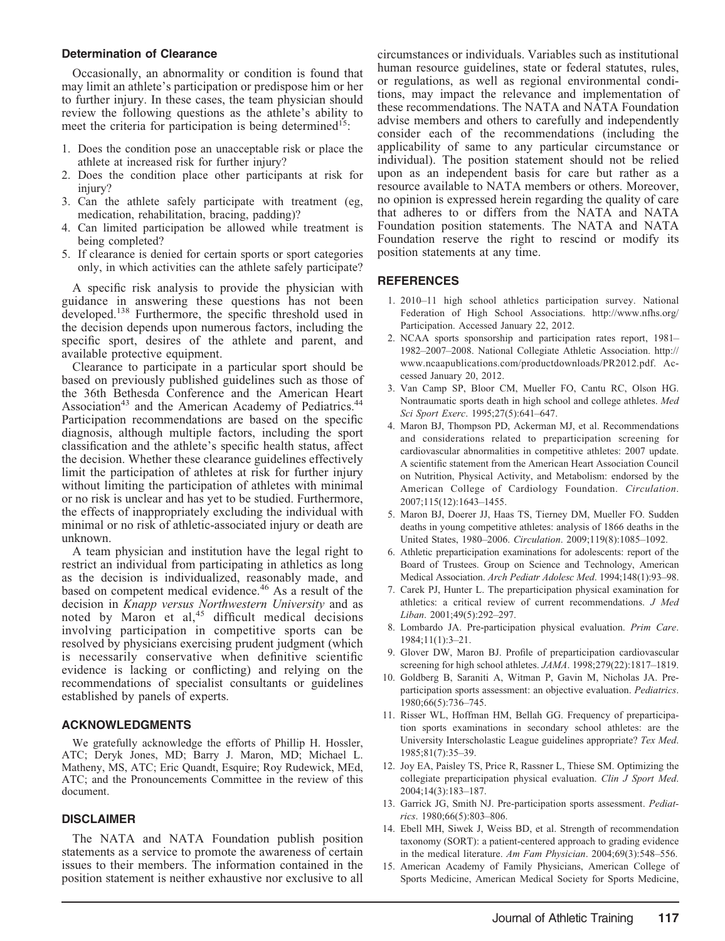## Determination of Clearance

Occasionally, an abnormality or condition is found that may limit an athlete's participation or predispose him or her to further injury. In these cases, the team physician should review the following questions as the athlete's ability to meet the criteria for participation is being determined<sup>15</sup>:

- 1. Does the condition pose an unacceptable risk or place the athlete at increased risk for further injury?
- 2. Does the condition place other participants at risk for injury?
- 3. Can the athlete safely participate with treatment (eg, medication, rehabilitation, bracing, padding)?
- 4. Can limited participation be allowed while treatment is being completed?
- 5. If clearance is denied for certain sports or sport categories only, in which activities can the athlete safely participate?

A specific risk analysis to provide the physician with guidance in answering these questions has not been developed.138 Furthermore, the specific threshold used in the decision depends upon numerous factors, including the specific sport, desires of the athlete and parent, and available protective equipment.

Clearance to participate in a particular sport should be based on previously published guidelines such as those of the 36th Bethesda Conference and the American Heart Association<sup>43</sup> and the American Academy of Pediatrics.<sup>44</sup> Participation recommendations are based on the specific diagnosis, although multiple factors, including the sport classification and the athlete's specific health status, affect the decision. Whether these clearance guidelines effectively limit the participation of athletes at risk for further injury without limiting the participation of athletes with minimal or no risk is unclear and has yet to be studied. Furthermore, the effects of inappropriately excluding the individual with minimal or no risk of athletic-associated injury or death are unknown.

A team physician and institution have the legal right to restrict an individual from participating in athletics as long as the decision is individualized, reasonably made, and based on competent medical evidence.<sup>46</sup> As a result of the decision in Knapp versus Northwestern University and as noted by Maron et al, $45$  difficult medical decisions involving participation in competitive sports can be resolved by physicians exercising prudent judgment (which is necessarily conservative when definitive scientific evidence is lacking or conflicting) and relying on the recommendations of specialist consultants or guidelines established by panels of experts.

## ACKNOWLEDGMENTS

We gratefully acknowledge the efforts of Phillip H. Hossler, ATC; Deryk Jones, MD; Barry J. Maron, MD; Michael L. Matheny, MS, ATC; Eric Quandt, Esquire; Roy Rudewick, MEd, ATC; and the Pronouncements Committee in the review of this document.

#### **DISCLAIMER**

The NATA and NATA Foundation publish position statements as a service to promote the awareness of certain issues to their members. The information contained in the position statement is neither exhaustive nor exclusive to all circumstances or individuals. Variables such as institutional human resource guidelines, state or federal statutes, rules, or regulations, as well as regional environmental conditions, may impact the relevance and implementation of these recommendations. The NATA and NATA Foundation advise members and others to carefully and independently consider each of the recommendations (including the applicability of same to any particular circumstance or individual). The position statement should not be relied upon as an independent basis for care but rather as a resource available to NATA members or others. Moreover, no opinion is expressed herein regarding the quality of care that adheres to or differs from the NATA and NATA Foundation position statements. The NATA and NATA Foundation reserve the right to rescind or modify its position statements at any time.

## **REFERENCES**

- 1. 2010–11 high school athletics participation survey. National Federation of High School Associations. http://www.nfhs.org/ Participation. Accessed January 22, 2012.
- 2. NCAA sports sponsorship and participation rates report, 1981– 1982–2007–2008. National Collegiate Athletic Association. http:// www.ncaapublications.com/productdownloads/PR2012.pdf. Accessed January 20, 2012.
- 3. Van Camp SP, Bloor CM, Mueller FO, Cantu RC, Olson HG. Nontraumatic sports death in high school and college athletes. Med Sci Sport Exerc. 1995;27(5):641–647.
- 4. Maron BJ, Thompson PD, Ackerman MJ, et al. Recommendations and considerations related to preparticipation screening for cardiovascular abnormalities in competitive athletes: 2007 update. A scientific statement from the American Heart Association Council on Nutrition, Physical Activity, and Metabolism: endorsed by the American College of Cardiology Foundation. Circulation. 2007;115(12):1643–1455.
- 5. Maron BJ, Doerer JJ, Haas TS, Tierney DM, Mueller FO. Sudden deaths in young competitive athletes: analysis of 1866 deaths in the United States, 1980–2006. Circulation. 2009;119(8):1085–1092.
- 6. Athletic preparticipation examinations for adolescents: report of the Board of Trustees. Group on Science and Technology, American Medical Association. Arch Pediatr Adolesc Med. 1994;148(1):93–98.
- 7. Carek PJ, Hunter L. The preparticipation physical examination for athletics: a critical review of current recommendations. J Med Liban. 2001;49(5):292–297.
- 8. Lombardo JA. Pre-participation physical evaluation. Prim Care. 1984;11(1):3–21.
- 9. Glover DW, Maron BJ. Profile of preparticipation cardiovascular screening for high school athletes. JAMA. 1998;279(22):1817–1819.
- 10. Goldberg B, Saraniti A, Witman P, Gavin M, Nicholas JA. Preparticipation sports assessment: an objective evaluation. Pediatrics. 1980;66(5):736–745.
- 11. Risser WL, Hoffman HM, Bellah GG. Frequency of preparticipation sports examinations in secondary school athletes: are the University Interscholastic League guidelines appropriate? Tex Med. 1985;81(7):35–39.
- 12. Joy EA, Paisley TS, Price R, Rassner L, Thiese SM. Optimizing the collegiate preparticipation physical evaluation. Clin J Sport Med. 2004;14(3):183–187.
- 13. Garrick JG, Smith NJ. Pre-participation sports assessment. Pediatrics. 1980;66(5):803–806.
- 14. Ebell MH, Siwek J, Weiss BD, et al. Strength of recommendation taxonomy (SORT): a patient-centered approach to grading evidence in the medical literature. Am Fam Physician. 2004;69(3):548–556.
- 15. American Academy of Family Physicians, American College of Sports Medicine, American Medical Society for Sports Medicine,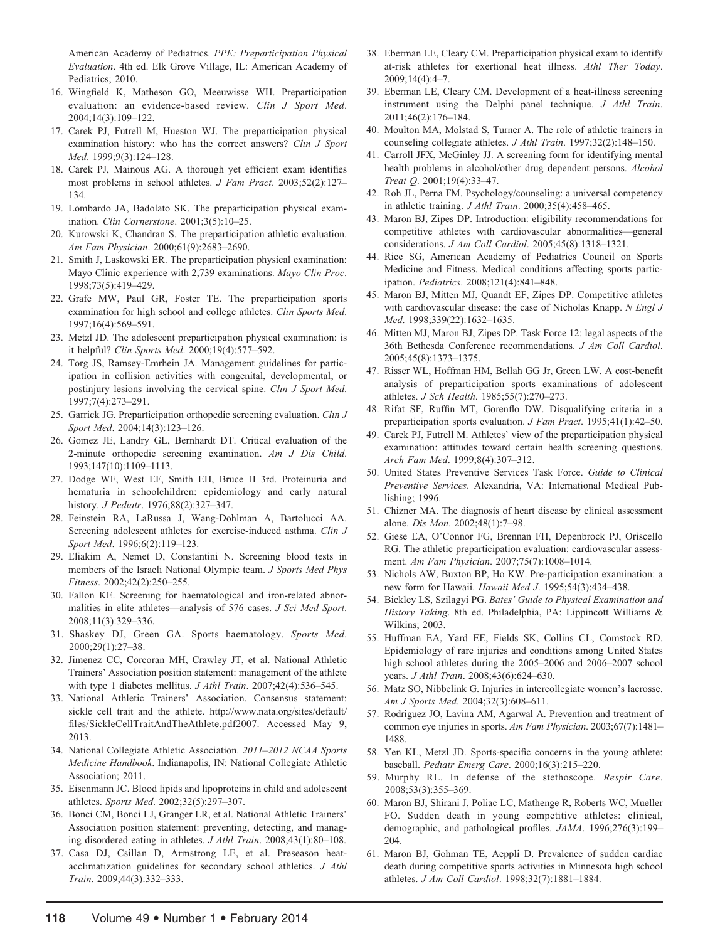American Academy of Pediatrics. PPE: Preparticipation Physical Evaluation. 4th ed. Elk Grove Village, IL: American Academy of Pediatrics; 2010.

- 16. Wingfield K, Matheson GO, Meeuwisse WH. Preparticipation evaluation: an evidence-based review. Clin J Sport Med. 2004;14(3):109–122.
- 17. Carek PJ, Futrell M, Hueston WJ. The preparticipation physical examination history: who has the correct answers? Clin J Sport Med. 1999;9(3):124–128.
- 18. Carek PJ, Mainous AG. A thorough yet efficient exam identifies most problems in school athletes. J Fam Pract. 2003;52(2):127– 134.
- 19. Lombardo JA, Badolato SK. The preparticipation physical examination. Clin Cornerstone. 2001;3(5):10–25.
- 20. Kurowski K, Chandran S. The preparticipation athletic evaluation. Am Fam Physician. 2000;61(9):2683–2690.
- 21. Smith J, Laskowski ER. The preparticipation physical examination: Mayo Clinic experience with 2,739 examinations. Mayo Clin Proc. 1998;73(5):419–429.
- 22. Grafe MW, Paul GR, Foster TE. The preparticipation sports examination for high school and college athletes. Clin Sports Med. 1997;16(4):569–591.
- 23. Metzl JD. The adolescent preparticipation physical examination: is it helpful? Clin Sports Med. 2000;19(4):577–592.
- 24. Torg JS, Ramsey-Emrhein JA. Management guidelines for participation in collision activities with congenital, developmental, or postinjury lesions involving the cervical spine. Clin J Sport Med. 1997;7(4):273–291.
- 25. Garrick JG. Preparticipation orthopedic screening evaluation. Clin J Sport Med. 2004;14(3):123–126.
- 26. Gomez JE, Landry GL, Bernhardt DT. Critical evaluation of the 2-minute orthopedic screening examination. Am J Dis Child. 1993;147(10):1109–1113.
- 27. Dodge WF, West EF, Smith EH, Bruce H 3rd. Proteinuria and hematuria in schoolchildren: epidemiology and early natural history. J Pediatr. 1976;88(2):327–347.
- 28. Feinstein RA, LaRussa J, Wang-Dohlman A, Bartolucci AA. Screening adolescent athletes for exercise-induced asthma. Clin J Sport Med. 1996;6(2):119–123.
- 29. Eliakim A, Nemet D, Constantini N. Screening blood tests in members of the Israeli National Olympic team. *J Sports Med Phys* Fitness. 2002;42(2):250–255.
- 30. Fallon KE. Screening for haematological and iron-related abnormalities in elite athletes—analysis of 576 cases. J Sci Med Sport. 2008;11(3):329–336.
- 31. Shaskey DJ, Green GA. Sports haematology. Sports Med. 2000;29(1):27–38.
- 32. Jimenez CC, Corcoran MH, Crawley JT, et al. National Athletic Trainers' Association position statement: management of the athlete with type 1 diabetes mellitus. *J Athl Train*. 2007;42(4):536–545.
- 33. National Athletic Trainers' Association. Consensus statement: sickle cell trait and the athlete. http://www.nata.org/sites/default/ files/SickleCellTraitAndTheAthlete.pdf2007. Accessed May 9, 2013.
- 34. National Collegiate Athletic Association. 2011–2012 NCAA Sports Medicine Handbook. Indianapolis, IN: National Collegiate Athletic Association; 2011.
- 35. Eisenmann JC. Blood lipids and lipoproteins in child and adolescent athletes. Sports Med. 2002;32(5):297–307.
- 36. Bonci CM, Bonci LJ, Granger LR, et al. National Athletic Trainers' Association position statement: preventing, detecting, and managing disordered eating in athletes. J Athl Train. 2008;43(1):80–108.
- 37. Casa DJ, Csillan D, Armstrong LE, et al. Preseason heatacclimatization guidelines for secondary school athletics. J Athl Train. 2009;44(3):332–333.
- 38. Eberman LE, Cleary CM. Preparticipation physical exam to identify at-risk athletes for exertional heat illness. Athl Ther Today. 2009;14(4):4–7.
- 39. Eberman LE, Cleary CM. Development of a heat-illness screening instrument using the Delphi panel technique. J Athl Train. 2011;46(2):176–184.
- 40. Moulton MA, Molstad S, Turner A. The role of athletic trainers in counseling collegiate athletes. J Athl Train. 1997;32(2):148–150.
- 41. Carroll JFX, McGinley JJ. A screening form for identifying mental health problems in alcohol/other drug dependent persons. Alcohol Treat Q. 2001;19(4):33–47.
- 42. Roh JL, Perna FM. Psychology/counseling: a universal competency in athletic training. J Athl Train. 2000;35(4):458–465.
- 43. Maron BJ, Zipes DP. Introduction: eligibility recommendations for competitive athletes with cardiovascular abnormalities—general considerations. J Am Coll Cardiol. 2005;45(8):1318–1321.
- 44. Rice SG, American Academy of Pediatrics Council on Sports Medicine and Fitness. Medical conditions affecting sports participation. Pediatrics. 2008;121(4):841–848.
- 45. Maron BJ, Mitten MJ, Quandt EF, Zipes DP. Competitive athletes with cardiovascular disease: the case of Nicholas Knapp. N Engl J Med. 1998;339(22):1632–1635.
- 46. Mitten MJ, Maron BJ, Zipes DP. Task Force 12: legal aspects of the 36th Bethesda Conference recommendations. J Am Coll Cardiol. 2005;45(8):1373–1375.
- 47. Risser WL, Hoffman HM, Bellah GG Jr, Green LW. A cost-benefit analysis of preparticipation sports examinations of adolescent athletes. J Sch Health. 1985;55(7):270–273.
- 48. Rifat SF, Ruffin MT, Gorenflo DW. Disqualifying criteria in a preparticipation sports evaluation. J Fam Pract. 1995;41(1):42-50.
- 49. Carek PJ, Futrell M. Athletes' view of the preparticipation physical examination: attitudes toward certain health screening questions. Arch Fam Med. 1999;8(4):307–312.
- 50. United States Preventive Services Task Force. Guide to Clinical Preventive Services. Alexandria, VA: International Medical Publishing; 1996.
- 51. Chizner MA. The diagnosis of heart disease by clinical assessment alone. Dis Mon. 2002;48(1):7–98.
- 52. Giese EA, O'Connor FG, Brennan FH, Depenbrock PJ, Oriscello RG. The athletic preparticipation evaluation: cardiovascular assessment. Am Fam Physician. 2007;75(7):1008–1014.
- 53. Nichols AW, Buxton BP, Ho KW. Pre-participation examination: a new form for Hawaii. Hawaii Med J. 1995;54(3):434–438.
- 54. Bickley LS, Szilagyi PG. Bates' Guide to Physical Examination and History Taking. 8th ed. Philadelphia, PA: Lippincott Williams & Wilkins; 2003.
- 55. Huffman EA, Yard EE, Fields SK, Collins CL, Comstock RD. Epidemiology of rare injuries and conditions among United States high school athletes during the 2005–2006 and 2006–2007 school years. *J Athl Train*. 2008;43(6):624-630.
- 56. Matz SO, Nibbelink G. Injuries in intercollegiate women's lacrosse. Am J Sports Med. 2004;32(3):608–611.
- 57. Rodriguez JO, Lavina AM, Agarwal A. Prevention and treatment of common eye injuries in sports. Am Fam Physician. 2003;67(7):1481– 1488.
- 58. Yen KL, Metzl JD. Sports-specific concerns in the young athlete: baseball. Pediatr Emerg Care. 2000;16(3):215–220.
- 59. Murphy RL. In defense of the stethoscope. Respir Care. 2008;53(3):355–369.
- 60. Maron BJ, Shirani J, Poliac LC, Mathenge R, Roberts WC, Mueller FO. Sudden death in young competitive athletes: clinical, demographic, and pathological profiles. JAMA. 1996;276(3):199– 204.
- 61. Maron BJ, Gohman TE, Aeppli D. Prevalence of sudden cardiac death during competitive sports activities in Minnesota high school athletes. J Am Coll Cardiol. 1998;32(7):1881–1884.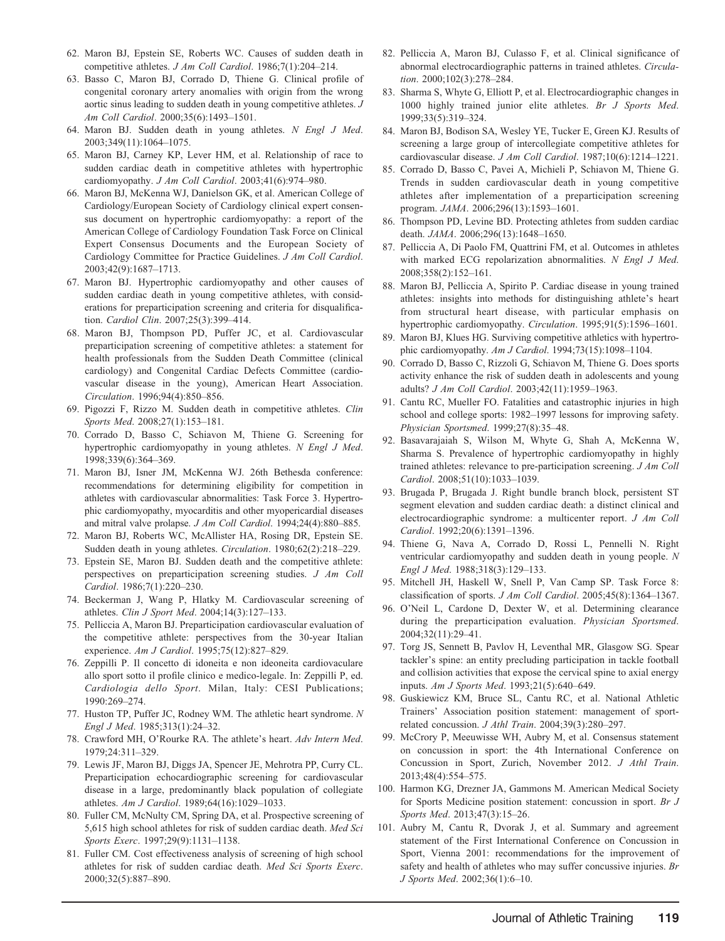- 62. Maron BJ, Epstein SE, Roberts WC. Causes of sudden death in competitive athletes. *J Am Coll Cardiol*. 1986;7(1):204–214.
- 63. Basso C, Maron BJ, Corrado D, Thiene G. Clinical profile of congenital coronary artery anomalies with origin from the wrong aortic sinus leading to sudden death in young competitive athletes. J Am Coll Cardiol. 2000;35(6):1493–1501.
- 64. Maron BJ. Sudden death in young athletes. N Engl J Med. 2003;349(11):1064–1075.
- 65. Maron BJ, Carney KP, Lever HM, et al. Relationship of race to sudden cardiac death in competitive athletes with hypertrophic cardiomyopathy. J Am Coll Cardiol. 2003;41(6):974-980.
- 66. Maron BJ, McKenna WJ, Danielson GK, et al. American College of Cardiology/European Society of Cardiology clinical expert consensus document on hypertrophic cardiomyopathy: a report of the American College of Cardiology Foundation Task Force on Clinical Expert Consensus Documents and the European Society of Cardiology Committee for Practice Guidelines. J Am Coll Cardiol. 2003;42(9):1687–1713.
- 67. Maron BJ. Hypertrophic cardiomyopathy and other causes of sudden cardiac death in young competitive athletes, with considerations for preparticipation screening and criteria for disqualification. Cardiol Clin. 2007;25(3):399-414.
- 68. Maron BJ, Thompson PD, Puffer JC, et al. Cardiovascular preparticipation screening of competitive athletes: a statement for health professionals from the Sudden Death Committee (clinical cardiology) and Congenital Cardiac Defects Committee (cardiovascular disease in the young), American Heart Association. Circulation. 1996;94(4):850–856.
- 69. Pigozzi F, Rizzo M. Sudden death in competitive athletes. Clin Sports Med. 2008;27(1):153-181.
- 70. Corrado D, Basso C, Schiavon M, Thiene G. Screening for hypertrophic cardiomyopathy in young athletes. N Engl J Med. 1998;339(6):364–369.
- 71. Maron BJ, Isner JM, McKenna WJ. 26th Bethesda conference: recommendations for determining eligibility for competition in athletes with cardiovascular abnormalities: Task Force 3. Hypertrophic cardiomyopathy, myocarditis and other myopericardial diseases and mitral valve prolapse. J Am Coll Cardiol. 1994;24(4):880-885.
- 72. Maron BJ, Roberts WC, McAllister HA, Rosing DR, Epstein SE. Sudden death in young athletes. Circulation. 1980;62(2):218–229.
- 73. Epstein SE, Maron BJ. Sudden death and the competitive athlete: perspectives on preparticipation screening studies. J Am Coll Cardiol. 1986;7(1):220–230.
- 74. Beckerman J, Wang P, Hlatky M. Cardiovascular screening of athletes. Clin J Sport Med. 2004;14(3):127–133.
- 75. Pelliccia A, Maron BJ. Preparticipation cardiovascular evaluation of the competitive athlete: perspectives from the 30-year Italian experience. Am J Cardiol. 1995;75(12):827-829.
- 76. Zeppilli P. Il concetto di idoneita e non ideoneita cardiovaculare allo sport sotto il profile clinico e medico-legale. In: Zeppilli P, ed. Cardiologia dello Sport. Milan, Italy: CESI Publications; 1990:269–274.
- 77. Huston TP, Puffer JC, Rodney WM. The athletic heart syndrome. N Engl J Med. 1985;313(1):24–32.
- 78. Crawford MH, O'Rourke RA. The athlete's heart. Adv Intern Med. 1979;24:311–329.
- 79. Lewis JF, Maron BJ, Diggs JA, Spencer JE, Mehrotra PP, Curry CL. Preparticipation echocardiographic screening for cardiovascular disease in a large, predominantly black population of collegiate athletes. Am J Cardiol. 1989;64(16):1029–1033.
- 80. Fuller CM, McNulty CM, Spring DA, et al. Prospective screening of 5,615 high school athletes for risk of sudden cardiac death. Med Sci Sports Exerc. 1997;29(9):1131–1138.
- 81. Fuller CM. Cost effectiveness analysis of screening of high school athletes for risk of sudden cardiac death. Med Sci Sports Exerc. 2000;32(5):887–890.
- 82. Pelliccia A, Maron BJ, Culasso F, et al. Clinical significance of abnormal electrocardiographic patterns in trained athletes. Circulation. 2000;102(3):278–284.
- 83. Sharma S, Whyte G, Elliott P, et al. Electrocardiographic changes in 1000 highly trained junior elite athletes. Br J Sports Med. 1999;33(5):319–324.
- 84. Maron BJ, Bodison SA, Wesley YE, Tucker E, Green KJ. Results of screening a large group of intercollegiate competitive athletes for cardiovascular disease. J Am Coll Cardiol. 1987;10(6):1214–1221.
- 85. Corrado D, Basso C, Pavei A, Michieli P, Schiavon M, Thiene G. Trends in sudden cardiovascular death in young competitive athletes after implementation of a preparticipation screening program. JAMA. 2006;296(13):1593–1601.
- 86. Thompson PD, Levine BD. Protecting athletes from sudden cardiac death. JAMA. 2006;296(13):1648–1650.
- 87. Pelliccia A, Di Paolo FM, Quattrini FM, et al. Outcomes in athletes with marked ECG repolarization abnormalities. N Engl J Med. 2008;358(2):152–161.
- 88. Maron BJ, Pelliccia A, Spirito P. Cardiac disease in young trained athletes: insights into methods for distinguishing athlete's heart from structural heart disease, with particular emphasis on hypertrophic cardiomyopathy. Circulation. 1995;91(5):1596–1601.
- 89. Maron BJ, Klues HG. Surviving competitive athletics with hypertrophic cardiomyopathy. Am J Cardiol. 1994;73(15):1098–1104.
- 90. Corrado D, Basso C, Rizzoli G, Schiavon M, Thiene G. Does sports activity enhance the risk of sudden death in adolescents and young adults? J Am Coll Cardiol. 2003;42(11):1959–1963.
- 91. Cantu RC, Mueller FO. Fatalities and catastrophic injuries in high school and college sports: 1982–1997 lessons for improving safety. Physician Sportsmed. 1999;27(8):35–48.
- 92. Basavarajaiah S, Wilson M, Whyte G, Shah A, McKenna W, Sharma S. Prevalence of hypertrophic cardiomyopathy in highly trained athletes: relevance to pre-participation screening. J Am Coll Cardiol. 2008;51(10):1033–1039.
- 93. Brugada P, Brugada J. Right bundle branch block, persistent ST segment elevation and sudden cardiac death: a distinct clinical and electrocardiographic syndrome: a multicenter report. J Am Coll Cardiol. 1992;20(6):1391–1396.
- 94. Thiene G, Nava A, Corrado D, Rossi L, Pennelli N. Right ventricular cardiomyopathy and sudden death in young people. N Engl J Med. 1988;318(3):129–133.
- 95. Mitchell JH, Haskell W, Snell P, Van Camp SP. Task Force 8: classification of sports. J Am Coll Cardiol. 2005;45(8):1364–1367.
- 96. O'Neil L, Cardone D, Dexter W, et al. Determining clearance during the preparticipation evaluation. Physician Sportsmed. 2004;32(11):29–41.
- 97. Torg JS, Sennett B, Pavlov H, Leventhal MR, Glasgow SG. Spear tackler's spine: an entity precluding participation in tackle football and collision activities that expose the cervical spine to axial energy inputs. Am J Sports Med. 1993;21(5):640–649.
- 98. Guskiewicz KM, Bruce SL, Cantu RC, et al. National Athletic Trainers' Association position statement: management of sportrelated concussion. J Athl Train. 2004;39(3):280–297.
- 99. McCrory P, Meeuwisse WH, Aubry M, et al. Consensus statement on concussion in sport: the 4th International Conference on Concussion in Sport, Zurich, November 2012. J Athl Train. 2013;48(4):554–575.
- 100. Harmon KG, Drezner JA, Gammons M. American Medical Society for Sports Medicine position statement: concussion in sport. Br J Sports Med. 2013;47(3):15–26.
- 101. Aubry M, Cantu R, Dvorak J, et al. Summary and agreement statement of the First International Conference on Concussion in Sport, Vienna 2001: recommendations for the improvement of safety and health of athletes who may suffer concussive injuries. Br J Sports Med. 2002;36(1):6–10.